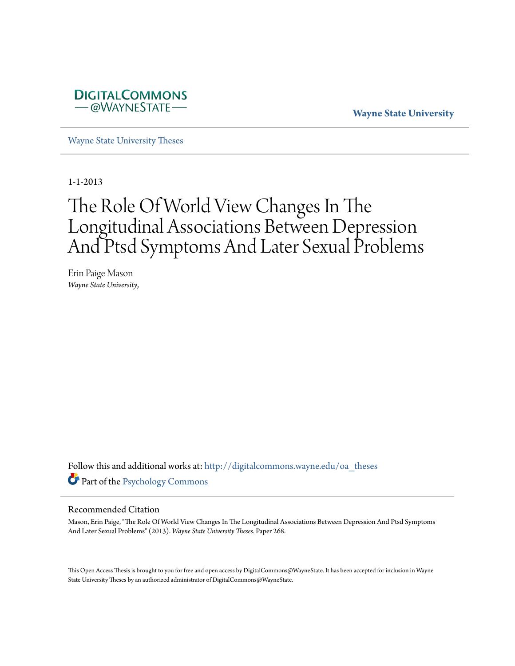

**Wayne State University**

[Wayne State University Theses](http://digitalcommons.wayne.edu/oa_theses?utm_source=digitalcommons.wayne.edu%2Foa_theses%2F268&utm_medium=PDF&utm_campaign=PDFCoverPages)

1-1-2013

# The Role Of World View Changes In The Longitudinal Associations Between Depression And Ptsd Symptoms And Later Sexual Problems

Erin Paige Mason *Wayne State University*,

Follow this and additional works at: [http://digitalcommons.wayne.edu/oa\\_theses](http://digitalcommons.wayne.edu/oa_theses?utm_source=digitalcommons.wayne.edu%2Foa_theses%2F268&utm_medium=PDF&utm_campaign=PDFCoverPages) Part of the [Psychology Commons](http://network.bepress.com/hgg/discipline/404?utm_source=digitalcommons.wayne.edu%2Foa_theses%2F268&utm_medium=PDF&utm_campaign=PDFCoverPages)

#### Recommended Citation

Mason, Erin Paige, "The Role Of World View Changes In The Longitudinal Associations Between Depression And Ptsd Symptoms And Later Sexual Problems" (2013). *Wayne State University Theses.* Paper 268.

This Open Access Thesis is brought to you for free and open access by DigitalCommons@WayneState. It has been accepted for inclusion in Wayne State University Theses by an authorized administrator of DigitalCommons@WayneState.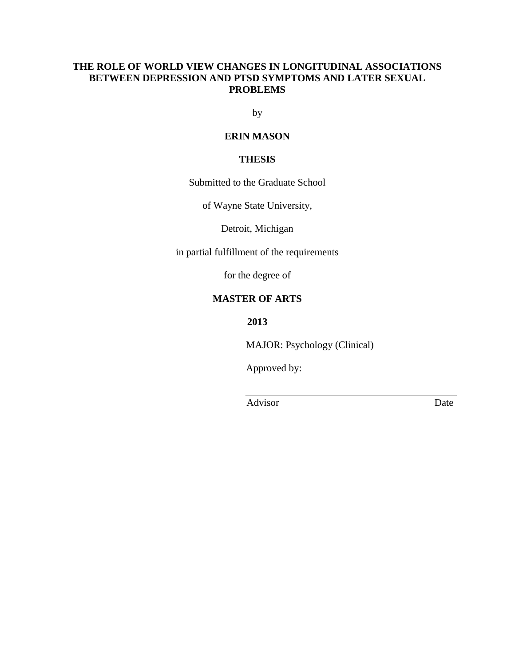## **THE ROLE OF WORLD VIEW CHANGES IN LONGITUDINAL ASSOCIATIONS BETWEEN DEPRESSION AND PTSD SYMPTOMS AND LATER SEXUAL PROBLEMS**

by

## **ERIN MASON**

## **THESIS**

Submitted to the Graduate School

of Wayne State University,

Detroit, Michigan

in partial fulfillment of the requirements

for the degree of

## **MASTER OF ARTS**

**2013**

MAJOR: Psychology (Clinical)

Approved by:

Advisor Date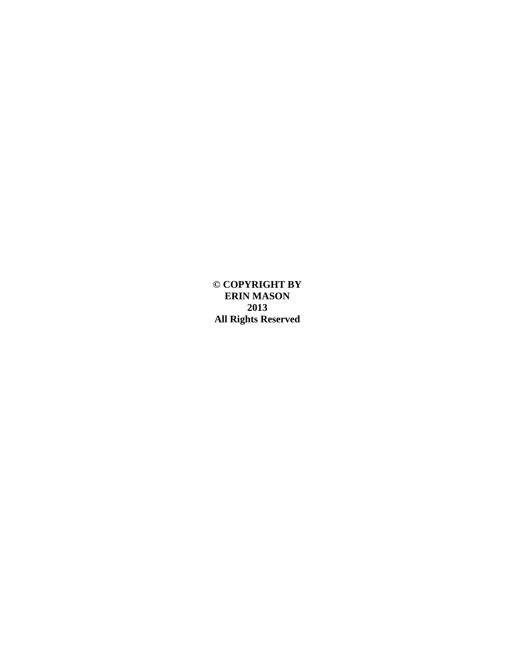**© COPYRIGHT BY ERIN MASON 2013 All Rights Reserved**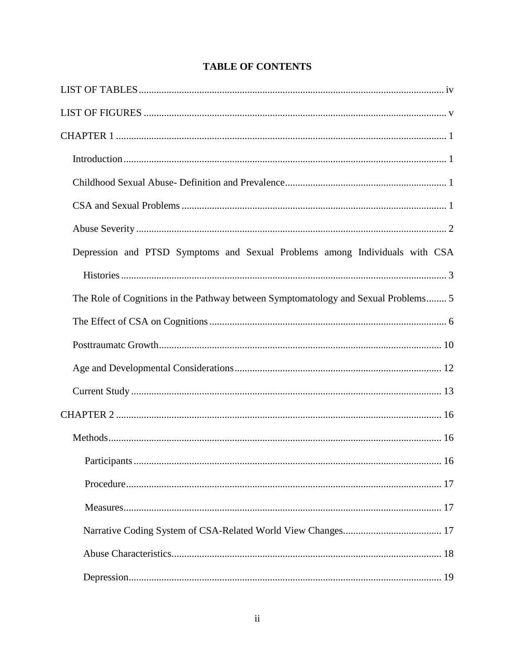| Depression and PTSD Symptoms and Sexual Problems among Individuals with CSA        |
|------------------------------------------------------------------------------------|
|                                                                                    |
| The Role of Cognitions in the Pathway between Symptomatology and Sexual Problems 5 |
|                                                                                    |
|                                                                                    |
|                                                                                    |
|                                                                                    |
|                                                                                    |
|                                                                                    |
|                                                                                    |
|                                                                                    |
|                                                                                    |
|                                                                                    |
|                                                                                    |
|                                                                                    |

## **TABLE OF CONTENTS**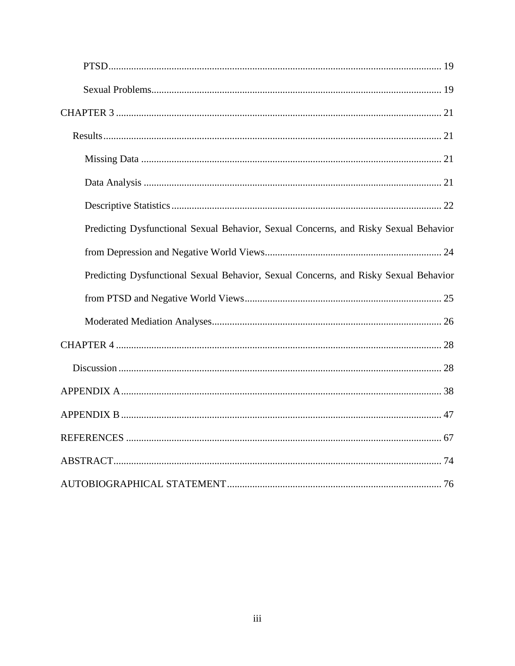| Predicting Dysfunctional Sexual Behavior, Sexual Concerns, and Risky Sexual Behavior |
|--------------------------------------------------------------------------------------|
|                                                                                      |
| Predicting Dysfunctional Sexual Behavior, Sexual Concerns, and Risky Sexual Behavior |
|                                                                                      |
|                                                                                      |
|                                                                                      |
|                                                                                      |
|                                                                                      |
|                                                                                      |
|                                                                                      |
|                                                                                      |
|                                                                                      |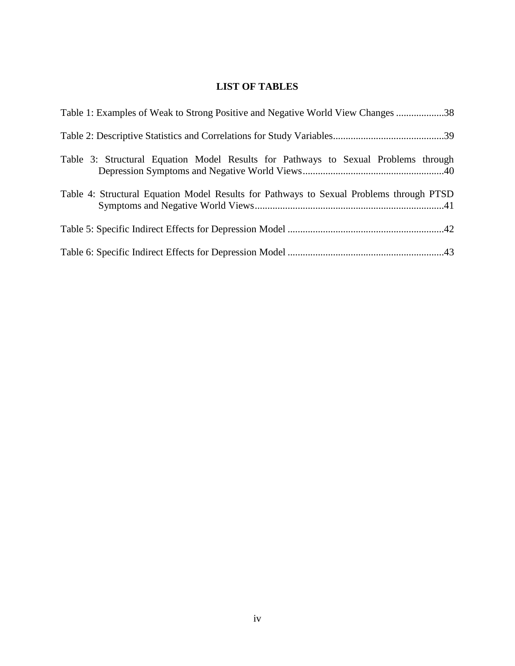## **LIST OF TABLES**

| Table 1: Examples of Weak to Strong Positive and Negative World View Changes 38         |
|-----------------------------------------------------------------------------------------|
|                                                                                         |
| Table 3: Structural Equation Model Results for Pathways to Sexual Problems through      |
| Table 4: Structural Equation Model Results for Pathways to Sexual Problems through PTSD |
|                                                                                         |
|                                                                                         |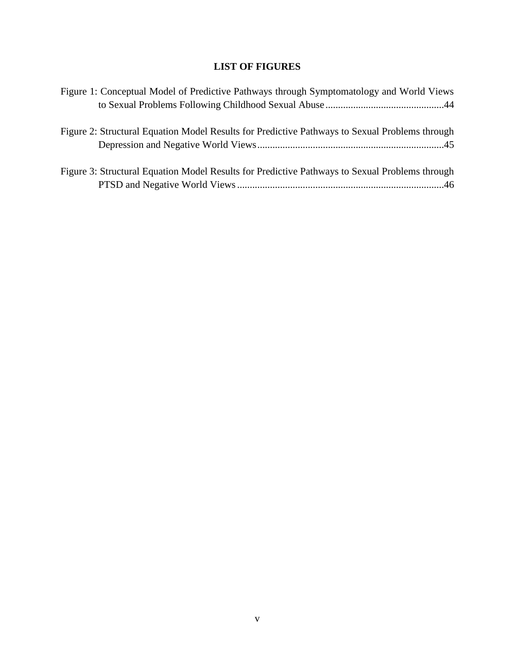## **LIST OF FIGURES**

| Figure 1: Conceptual Model of Predictive Pathways through Symptomatology and World Views       |  |
|------------------------------------------------------------------------------------------------|--|
|                                                                                                |  |
|                                                                                                |  |
| Figure 2: Structural Equation Model Results for Predictive Pathways to Sexual Problems through |  |
|                                                                                                |  |
|                                                                                                |  |
| Figure 3: Structural Equation Model Results for Predictive Pathways to Sexual Problems through |  |
|                                                                                                |  |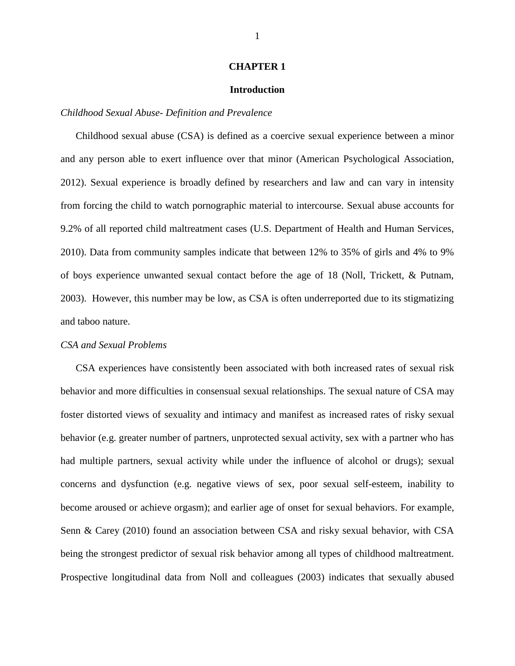#### **CHAPTER 1**

#### **Introduction**

#### *Childhood Sexual Abuse- Definition and Prevalence*

Childhood sexual abuse (CSA) is defined as a coercive sexual experience between a minor and any person able to exert influence over that minor (American Psychological Association, 2012). Sexual experience is broadly defined by researchers and law and can vary in intensity from forcing the child to watch pornographic material to intercourse. Sexual abuse accounts for 9.2% of all reported child maltreatment cases (U.S. Department of Health and Human Services, 2010). Data from community samples indicate that between 12% to 35% of girls and 4% to 9% of boys experience unwanted sexual contact before the age of 18 (Noll, Trickett, & Putnam, 2003). However, this number may be low, as CSA is often underreported due to its stigmatizing and taboo nature.

#### *CSA and Sexual Problems*

CSA experiences have consistently been associated with both increased rates of sexual risk behavior and more difficulties in consensual sexual relationships. The sexual nature of CSA may foster distorted views of sexuality and intimacy and manifest as increased rates of risky sexual behavior (e.g. greater number of partners, unprotected sexual activity, sex with a partner who has had multiple partners, sexual activity while under the influence of alcohol or drugs); sexual concerns and dysfunction (e.g. negative views of sex, poor sexual self-esteem, inability to become aroused or achieve orgasm); and earlier age of onset for sexual behaviors. For example, Senn & Carey (2010) found an association between CSA and risky sexual behavior, with CSA being the strongest predictor of sexual risk behavior among all types of childhood maltreatment. Prospective longitudinal data from Noll and colleagues (2003) indicates that sexually abused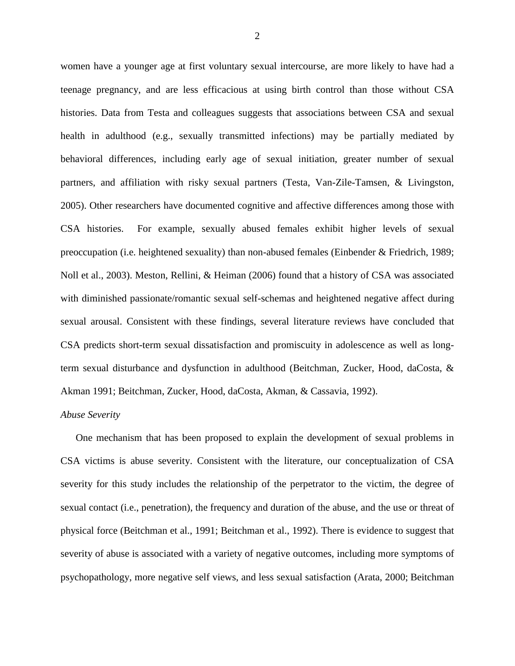women have a younger age at first voluntary sexual intercourse, are more likely to have had a teenage pregnancy, and are less efficacious at using birth control than those without CSA histories. Data from Testa and colleagues suggests that associations between CSA and sexual health in adulthood (e.g., sexually transmitted infections) may be partially mediated by behavioral differences, including early age of sexual initiation, greater number of sexual partners, and affiliation with risky sexual partners (Testa, Van-Zile-Tamsen, & Livingston, 2005). Other researchers have documented cognitive and affective differences among those with CSA histories. For example, sexually abused females exhibit higher levels of sexual preoccupation (i.e. heightened sexuality) than non-abused females (Einbender & Friedrich, 1989; Noll et al., 2003). Meston, Rellini, & Heiman (2006) found that a history of CSA was associated with diminished passionate/romantic sexual self-schemas and heightened negative affect during sexual arousal. Consistent with these findings, several literature reviews have concluded that CSA predicts short-term sexual dissatisfaction and promiscuity in adolescence as well as longterm sexual disturbance and dysfunction in adulthood (Beitchman, Zucker, Hood, daCosta, & Akman 1991; Beitchman, Zucker, Hood, daCosta, Akman, & Cassavia, 1992).

#### *Abuse Severity*

One mechanism that has been proposed to explain the development of sexual problems in CSA victims is abuse severity. Consistent with the literature, our conceptualization of CSA severity for this study includes the relationship of the perpetrator to the victim, the degree of sexual contact (i.e., penetration), the frequency and duration of the abuse, and the use or threat of physical force (Beitchman et al., 1991; Beitchman et al., 1992). There is evidence to suggest that severity of abuse is associated with a variety of negative outcomes, including more symptoms of psychopathology, more negative self views, and less sexual satisfaction (Arata, 2000; Beitchman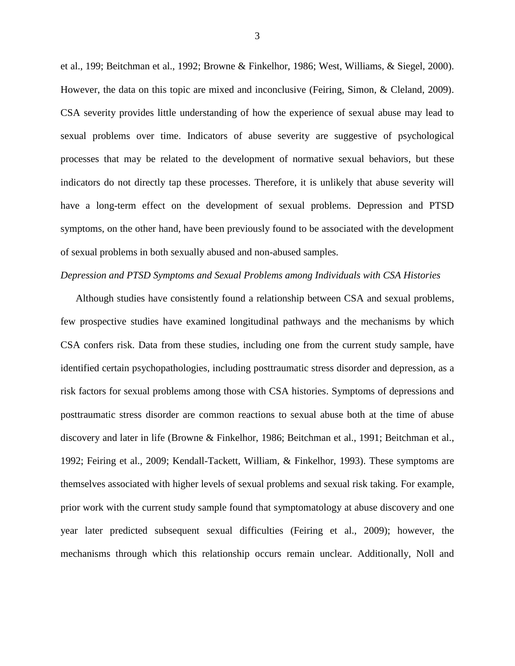et al., 199; Beitchman et al., 1992; Browne & Finkelhor, 1986; West, Williams, & Siegel, 2000). However, the data on this topic are mixed and inconclusive (Feiring, Simon, & Cleland, 2009). CSA severity provides little understanding of how the experience of sexual abuse may lead to sexual problems over time. Indicators of abuse severity are suggestive of psychological processes that may be related to the development of normative sexual behaviors, but these indicators do not directly tap these processes. Therefore, it is unlikely that abuse severity will have a long-term effect on the development of sexual problems. Depression and PTSD symptoms, on the other hand, have been previously found to be associated with the development of sexual problems in both sexually abused and non-abused samples.

#### *Depression and PTSD Symptoms and Sexual Problems among Individuals with CSA Histories*

Although studies have consistently found a relationship between CSA and sexual problems, few prospective studies have examined longitudinal pathways and the mechanisms by which CSA confers risk. Data from these studies, including one from the current study sample, have identified certain psychopathologies, including posttraumatic stress disorder and depression, as a risk factors for sexual problems among those with CSA histories. Symptoms of depressions and posttraumatic stress disorder are common reactions to sexual abuse both at the time of abuse discovery and later in life (Browne & Finkelhor, 1986; Beitchman et al., 1991; Beitchman et al., 1992; Feiring et al., 2009; Kendall-Tackett, William, & Finkelhor, 1993). These symptoms are themselves associated with higher levels of sexual problems and sexual risk taking. For example, prior work with the current study sample found that symptomatology at abuse discovery and one year later predicted subsequent sexual difficulties (Feiring et al., 2009); however, the mechanisms through which this relationship occurs remain unclear. Additionally, Noll and

3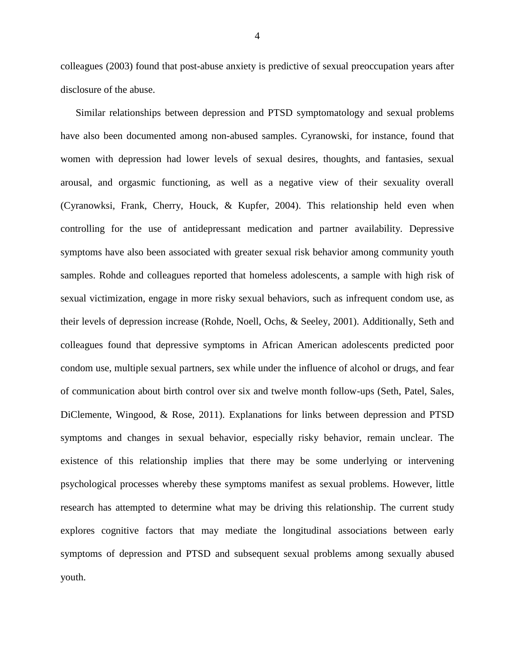colleagues (2003) found that post-abuse anxiety is predictive of sexual preoccupation years after disclosure of the abuse.

Similar relationships between depression and PTSD symptomatology and sexual problems have also been documented among non-abused samples. Cyranowski, for instance, found that women with depression had lower levels of sexual desires, thoughts, and fantasies, sexual arousal, and orgasmic functioning, as well as a negative view of their sexuality overall (Cyranowksi, Frank, Cherry, Houck, & Kupfer, 2004). This relationship held even when controlling for the use of antidepressant medication and partner availability. Depressive symptoms have also been associated with greater sexual risk behavior among community youth samples. Rohde and colleagues reported that homeless adolescents, a sample with high risk of sexual victimization, engage in more risky sexual behaviors, such as infrequent condom use, as their levels of depression increase (Rohde, Noell, Ochs, & Seeley, 2001). Additionally, Seth and colleagues found that depressive symptoms in African American adolescents predicted poor condom use, multiple sexual partners, sex while under the influence of alcohol or drugs, and fear of communication about birth control over six and twelve month follow-ups (Seth, Patel, Sales, DiClemente, Wingood, & Rose, 2011). Explanations for links between depression and PTSD symptoms and changes in sexual behavior, especially risky behavior, remain unclear. The existence of this relationship implies that there may be some underlying or intervening psychological processes whereby these symptoms manifest as sexual problems. However, little research has attempted to determine what may be driving this relationship. The current study explores cognitive factors that may mediate the longitudinal associations between early symptoms of depression and PTSD and subsequent sexual problems among sexually abused youth.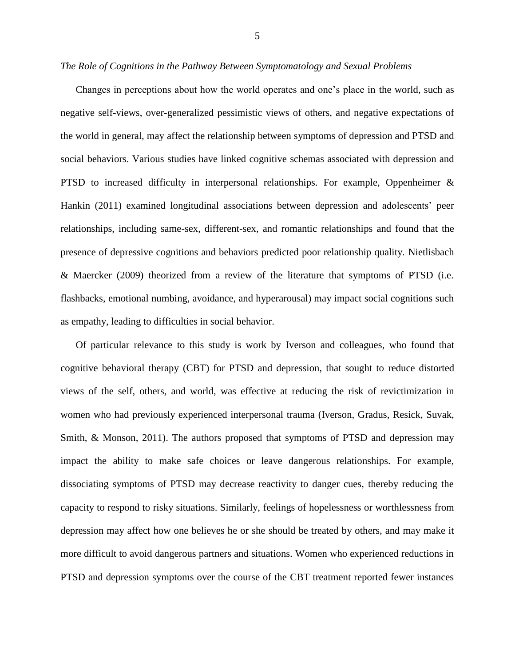#### *The Role of Cognitions in the Pathway Between Symptomatology and Sexual Problems*

Changes in perceptions about how the world operates and one's place in the world, such as negative self-views, over-generalized pessimistic views of others, and negative expectations of the world in general, may affect the relationship between symptoms of depression and PTSD and social behaviors. Various studies have linked cognitive schemas associated with depression and PTSD to increased difficulty in interpersonal relationships. For example, Oppenheimer & Hankin (2011) examined longitudinal associations between depression and adolescents' peer relationships, including same-sex, different-sex, and romantic relationships and found that the presence of depressive cognitions and behaviors predicted poor relationship quality. Nietlisbach & Maercker (2009) theorized from a review of the literature that symptoms of PTSD (i.e. flashbacks, emotional numbing, avoidance, and hyperarousal) may impact social cognitions such as empathy, leading to difficulties in social behavior.

Of particular relevance to this study is work by Iverson and colleagues, who found that cognitive behavioral therapy (CBT) for PTSD and depression, that sought to reduce distorted views of the self, others, and world, was effective at reducing the risk of revictimization in women who had previously experienced interpersonal trauma (Iverson, Gradus, Resick, Suvak, Smith, & Monson, 2011). The authors proposed that symptoms of PTSD and depression may impact the ability to make safe choices or leave dangerous relationships. For example, dissociating symptoms of PTSD may decrease reactivity to danger cues, thereby reducing the capacity to respond to risky situations. Similarly, feelings of hopelessness or worthlessness from depression may affect how one believes he or she should be treated by others, and may make it more difficult to avoid dangerous partners and situations. Women who experienced reductions in PTSD and depression symptoms over the course of the CBT treatment reported fewer instances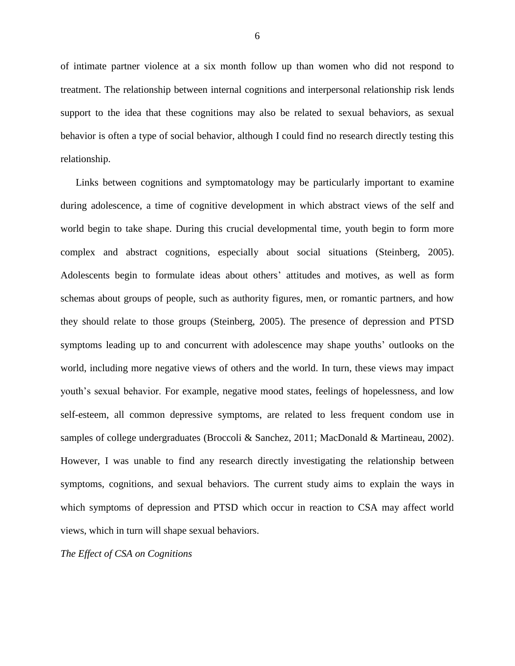of intimate partner violence at a six month follow up than women who did not respond to treatment. The relationship between internal cognitions and interpersonal relationship risk lends support to the idea that these cognitions may also be related to sexual behaviors, as sexual behavior is often a type of social behavior, although I could find no research directly testing this relationship.

Links between cognitions and symptomatology may be particularly important to examine during adolescence, a time of cognitive development in which abstract views of the self and world begin to take shape. During this crucial developmental time, youth begin to form more complex and abstract cognitions, especially about social situations (Steinberg, 2005). Adolescents begin to formulate ideas about others' attitudes and motives, as well as form schemas about groups of people, such as authority figures, men, or romantic partners, and how they should relate to those groups (Steinberg, 2005). The presence of depression and PTSD symptoms leading up to and concurrent with adolescence may shape youths' outlooks on the world, including more negative views of others and the world. In turn, these views may impact youth's sexual behavior. For example, negative mood states, feelings of hopelessness, and low self-esteem, all common depressive symptoms, are related to less frequent condom use in samples of college undergraduates (Broccoli & Sanchez, 2011; MacDonald & Martineau, 2002). However, I was unable to find any research directly investigating the relationship between symptoms, cognitions, and sexual behaviors. The current study aims to explain the ways in which symptoms of depression and PTSD which occur in reaction to CSA may affect world views, which in turn will shape sexual behaviors.

*The Effect of CSA on Cognitions*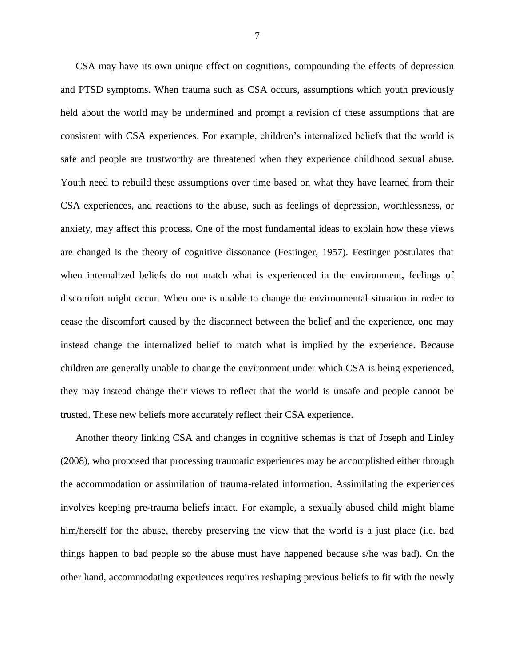CSA may have its own unique effect on cognitions, compounding the effects of depression and PTSD symptoms. When trauma such as CSA occurs, assumptions which youth previously held about the world may be undermined and prompt a revision of these assumptions that are consistent with CSA experiences. For example, children's internalized beliefs that the world is safe and people are trustworthy are threatened when they experience childhood sexual abuse. Youth need to rebuild these assumptions over time based on what they have learned from their CSA experiences, and reactions to the abuse, such as feelings of depression, worthlessness, or anxiety, may affect this process. One of the most fundamental ideas to explain how these views are changed is the theory of cognitive dissonance (Festinger, 1957). Festinger postulates that when internalized beliefs do not match what is experienced in the environment, feelings of discomfort might occur. When one is unable to change the environmental situation in order to cease the discomfort caused by the disconnect between the belief and the experience, one may instead change the internalized belief to match what is implied by the experience. Because children are generally unable to change the environment under which CSA is being experienced, they may instead change their views to reflect that the world is unsafe and people cannot be trusted. These new beliefs more accurately reflect their CSA experience.

Another theory linking CSA and changes in cognitive schemas is that of Joseph and Linley (2008), who proposed that processing traumatic experiences may be accomplished either through the accommodation or assimilation of trauma-related information. Assimilating the experiences involves keeping pre-trauma beliefs intact. For example, a sexually abused child might blame him/herself for the abuse, thereby preserving the view that the world is a just place (i.e. bad things happen to bad people so the abuse must have happened because s/he was bad). On the other hand, accommodating experiences requires reshaping previous beliefs to fit with the newly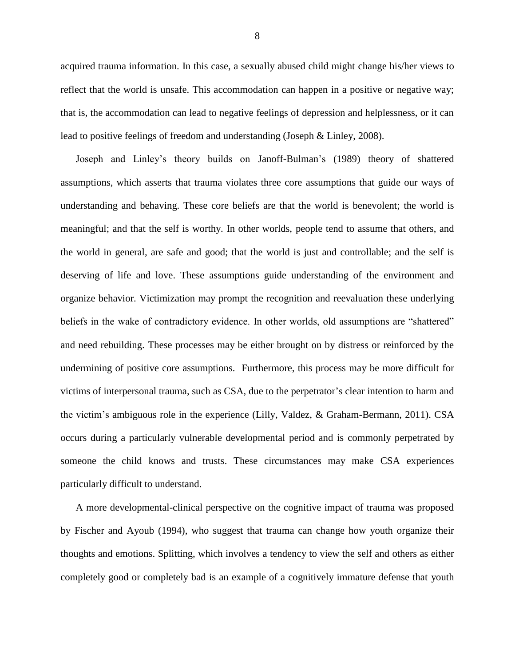acquired trauma information. In this case, a sexually abused child might change his/her views to reflect that the world is unsafe. This accommodation can happen in a positive or negative way; that is, the accommodation can lead to negative feelings of depression and helplessness, or it can lead to positive feelings of freedom and understanding (Joseph & Linley, 2008).

Joseph and Linley's theory builds on Janoff-Bulman's (1989) theory of shattered assumptions, which asserts that trauma violates three core assumptions that guide our ways of understanding and behaving. These core beliefs are that the world is benevolent; the world is meaningful; and that the self is worthy. In other worlds, people tend to assume that others, and the world in general, are safe and good; that the world is just and controllable; and the self is deserving of life and love. These assumptions guide understanding of the environment and organize behavior. Victimization may prompt the recognition and reevaluation these underlying beliefs in the wake of contradictory evidence. In other worlds, old assumptions are "shattered" and need rebuilding. These processes may be either brought on by distress or reinforced by the undermining of positive core assumptions. Furthermore, this process may be more difficult for victims of interpersonal trauma, such as CSA, due to the perpetrator's clear intention to harm and the victim's ambiguous role in the experience (Lilly, Valdez, & Graham-Bermann, 2011). CSA occurs during a particularly vulnerable developmental period and is commonly perpetrated by someone the child knows and trusts. These circumstances may make CSA experiences particularly difficult to understand.

A more developmental-clinical perspective on the cognitive impact of trauma was proposed by Fischer and Ayoub (1994), who suggest that trauma can change how youth organize their thoughts and emotions. Splitting, which involves a tendency to view the self and others as either completely good or completely bad is an example of a cognitively immature defense that youth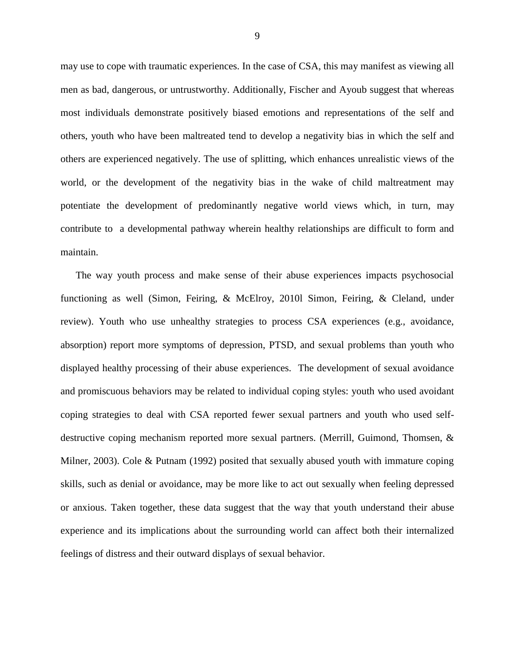may use to cope with traumatic experiences. In the case of CSA, this may manifest as viewing all men as bad, dangerous, or untrustworthy. Additionally, Fischer and Ayoub suggest that whereas most individuals demonstrate positively biased emotions and representations of the self and others, youth who have been maltreated tend to develop a negativity bias in which the self and others are experienced negatively. The use of splitting, which enhances unrealistic views of the world, or the development of the negativity bias in the wake of child maltreatment may potentiate the development of predominantly negative world views which, in turn, may contribute to a developmental pathway wherein healthy relationships are difficult to form and maintain.

The way youth process and make sense of their abuse experiences impacts psychosocial functioning as well (Simon, Feiring, & McElroy, 2010l Simon, Feiring, & Cleland, under review). Youth who use unhealthy strategies to process CSA experiences (e.g., avoidance, absorption) report more symptoms of depression, PTSD, and sexual problems than youth who displayed healthy processing of their abuse experiences. The development of sexual avoidance and promiscuous behaviors may be related to individual coping styles: youth who used avoidant coping strategies to deal with CSA reported fewer sexual partners and youth who used selfdestructive coping mechanism reported more sexual partners. (Merrill, Guimond, Thomsen, & Milner, 2003). Cole & Putnam (1992) posited that sexually abused youth with immature coping skills, such as denial or avoidance, may be more like to act out sexually when feeling depressed or anxious. Taken together, these data suggest that the way that youth understand their abuse experience and its implications about the surrounding world can affect both their internalized feelings of distress and their outward displays of sexual behavior.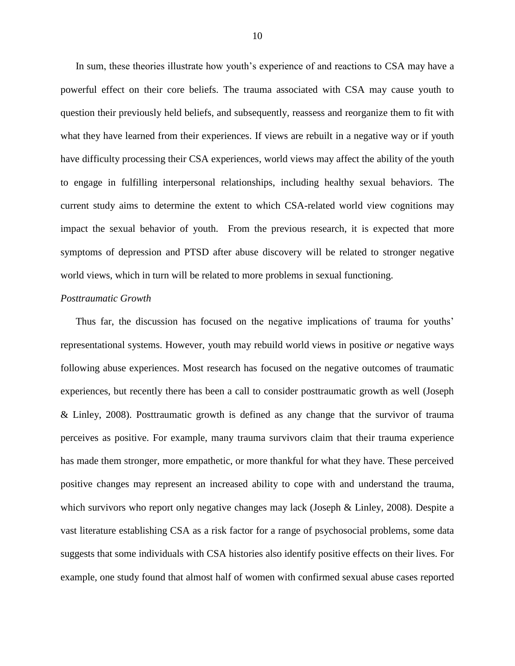In sum, these theories illustrate how youth's experience of and reactions to CSA may have a powerful effect on their core beliefs. The trauma associated with CSA may cause youth to question their previously held beliefs, and subsequently, reassess and reorganize them to fit with what they have learned from their experiences. If views are rebuilt in a negative way or if youth have difficulty processing their CSA experiences, world views may affect the ability of the youth to engage in fulfilling interpersonal relationships, including healthy sexual behaviors. The current study aims to determine the extent to which CSA-related world view cognitions may impact the sexual behavior of youth. From the previous research, it is expected that more symptoms of depression and PTSD after abuse discovery will be related to stronger negative world views, which in turn will be related to more problems in sexual functioning.

#### *Posttraumatic Growth*

Thus far, the discussion has focused on the negative implications of trauma for youths' representational systems. However, youth may rebuild world views in positive *or* negative ways following abuse experiences. Most research has focused on the negative outcomes of traumatic experiences, but recently there has been a call to consider posttraumatic growth as well (Joseph & Linley, 2008). Posttraumatic growth is defined as any change that the survivor of trauma perceives as positive. For example, many trauma survivors claim that their trauma experience has made them stronger, more empathetic, or more thankful for what they have. These perceived positive changes may represent an increased ability to cope with and understand the trauma, which survivors who report only negative changes may lack (Joseph & Linley, 2008). Despite a vast literature establishing CSA as a risk factor for a range of psychosocial problems, some data suggests that some individuals with CSA histories also identify positive effects on their lives. For example, one study found that almost half of women with confirmed sexual abuse cases reported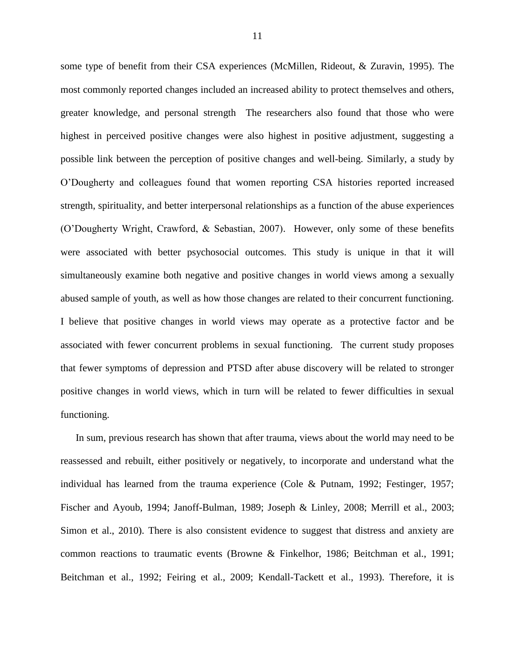some type of benefit from their CSA experiences (McMillen, Rideout, & Zuravin, 1995). The most commonly reported changes included an increased ability to protect themselves and others, greater knowledge, and personal strength The researchers also found that those who were highest in perceived positive changes were also highest in positive adjustment, suggesting a possible link between the perception of positive changes and well-being. Similarly, a study by O'Dougherty and colleagues found that women reporting CSA histories reported increased strength, spirituality, and better interpersonal relationships as a function of the abuse experiences (O'Dougherty Wright, Crawford, & Sebastian, 2007). However, only some of these benefits were associated with better psychosocial outcomes. This study is unique in that it will simultaneously examine both negative and positive changes in world views among a sexually abused sample of youth, as well as how those changes are related to their concurrent functioning. I believe that positive changes in world views may operate as a protective factor and be associated with fewer concurrent problems in sexual functioning. The current study proposes that fewer symptoms of depression and PTSD after abuse discovery will be related to stronger positive changes in world views, which in turn will be related to fewer difficulties in sexual functioning.

In sum, previous research has shown that after trauma, views about the world may need to be reassessed and rebuilt, either positively or negatively, to incorporate and understand what the individual has learned from the trauma experience (Cole & Putnam, 1992; Festinger, 1957; Fischer and Ayoub, 1994; Janoff-Bulman, 1989; Joseph & Linley, 2008; Merrill et al., 2003; Simon et al., 2010). There is also consistent evidence to suggest that distress and anxiety are common reactions to traumatic events (Browne & Finkelhor, 1986; Beitchman et al., 1991; Beitchman et al., 1992; Feiring et al., 2009; Kendall-Tackett et al., 1993). Therefore, it is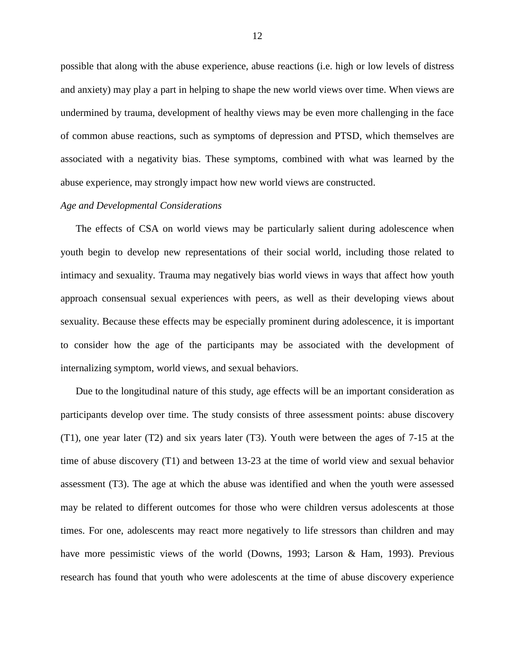possible that along with the abuse experience, abuse reactions (i.e. high or low levels of distress and anxiety) may play a part in helping to shape the new world views over time. When views are undermined by trauma, development of healthy views may be even more challenging in the face of common abuse reactions, such as symptoms of depression and PTSD, which themselves are associated with a negativity bias. These symptoms, combined with what was learned by the abuse experience, may strongly impact how new world views are constructed.

#### *Age and Developmental Considerations*

The effects of CSA on world views may be particularly salient during adolescence when youth begin to develop new representations of their social world, including those related to intimacy and sexuality. Trauma may negatively bias world views in ways that affect how youth approach consensual sexual experiences with peers, as well as their developing views about sexuality. Because these effects may be especially prominent during adolescence, it is important to consider how the age of the participants may be associated with the development of internalizing symptom, world views, and sexual behaviors.

Due to the longitudinal nature of this study, age effects will be an important consideration as participants develop over time. The study consists of three assessment points: abuse discovery (T1), one year later (T2) and six years later (T3). Youth were between the ages of 7-15 at the time of abuse discovery (T1) and between 13-23 at the time of world view and sexual behavior assessment (T3). The age at which the abuse was identified and when the youth were assessed may be related to different outcomes for those who were children versus adolescents at those times. For one, adolescents may react more negatively to life stressors than children and may have more pessimistic views of the world (Downs, 1993; Larson & Ham, 1993). Previous research has found that youth who were adolescents at the time of abuse discovery experience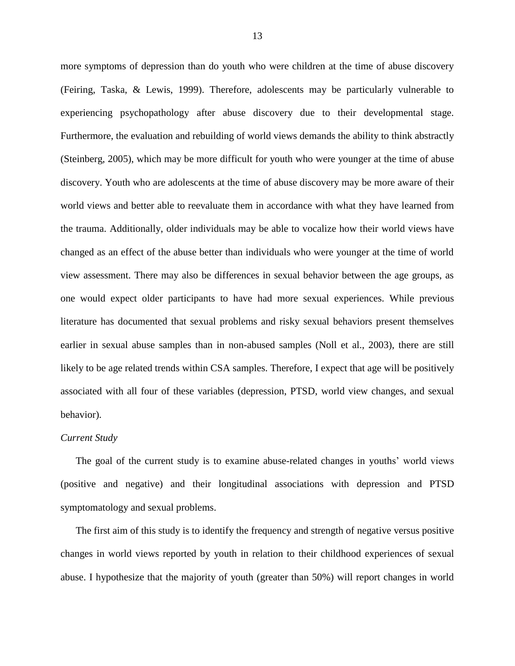more symptoms of depression than do youth who were children at the time of abuse discovery (Feiring, Taska, & Lewis, 1999). Therefore, adolescents may be particularly vulnerable to experiencing psychopathology after abuse discovery due to their developmental stage. Furthermore, the evaluation and rebuilding of world views demands the ability to think abstractly (Steinberg, 2005), which may be more difficult for youth who were younger at the time of abuse discovery. Youth who are adolescents at the time of abuse discovery may be more aware of their world views and better able to reevaluate them in accordance with what they have learned from the trauma. Additionally, older individuals may be able to vocalize how their world views have changed as an effect of the abuse better than individuals who were younger at the time of world view assessment. There may also be differences in sexual behavior between the age groups, as one would expect older participants to have had more sexual experiences. While previous literature has documented that sexual problems and risky sexual behaviors present themselves earlier in sexual abuse samples than in non-abused samples (Noll et al., 2003), there are still likely to be age related trends within CSA samples. Therefore, I expect that age will be positively associated with all four of these variables (depression, PTSD, world view changes, and sexual behavior).

#### *Current Study*

The goal of the current study is to examine abuse-related changes in youths' world views (positive and negative) and their longitudinal associations with depression and PTSD symptomatology and sexual problems.

The first aim of this study is to identify the frequency and strength of negative versus positive changes in world views reported by youth in relation to their childhood experiences of sexual abuse. I hypothesize that the majority of youth (greater than 50%) will report changes in world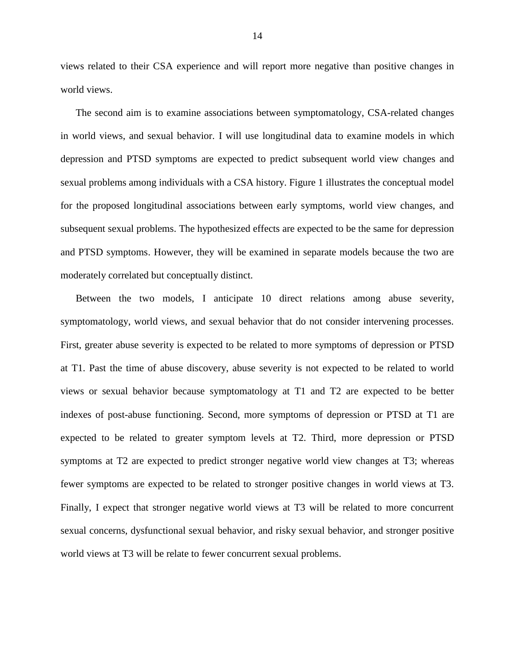views related to their CSA experience and will report more negative than positive changes in world views.

The second aim is to examine associations between symptomatology, CSA-related changes in world views, and sexual behavior. I will use longitudinal data to examine models in which depression and PTSD symptoms are expected to predict subsequent world view changes and sexual problems among individuals with a CSA history. Figure 1 illustrates the conceptual model for the proposed longitudinal associations between early symptoms, world view changes, and subsequent sexual problems. The hypothesized effects are expected to be the same for depression and PTSD symptoms. However, they will be examined in separate models because the two are moderately correlated but conceptually distinct.

Between the two models, I anticipate 10 direct relations among abuse severity, symptomatology, world views, and sexual behavior that do not consider intervening processes. First, greater abuse severity is expected to be related to more symptoms of depression or PTSD at T1. Past the time of abuse discovery, abuse severity is not expected to be related to world views or sexual behavior because symptomatology at T1 and T2 are expected to be better indexes of post-abuse functioning. Second, more symptoms of depression or PTSD at T1 are expected to be related to greater symptom levels at T2. Third, more depression or PTSD symptoms at T2 are expected to predict stronger negative world view changes at T3; whereas fewer symptoms are expected to be related to stronger positive changes in world views at T3. Finally, I expect that stronger negative world views at T3 will be related to more concurrent sexual concerns, dysfunctional sexual behavior, and risky sexual behavior, and stronger positive world views at T3 will be relate to fewer concurrent sexual problems.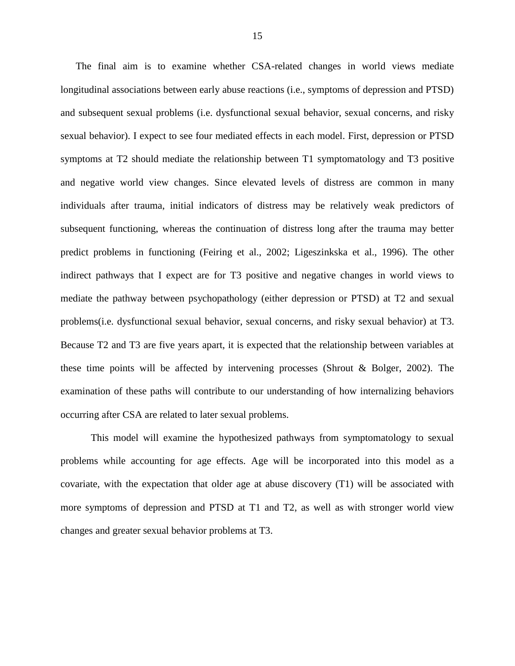The final aim is to examine whether CSA-related changes in world views mediate longitudinal associations between early abuse reactions (i.e., symptoms of depression and PTSD) and subsequent sexual problems (i.e. dysfunctional sexual behavior, sexual concerns, and risky sexual behavior). I expect to see four mediated effects in each model. First, depression or PTSD symptoms at T2 should mediate the relationship between T1 symptomatology and T3 positive and negative world view changes. Since elevated levels of distress are common in many individuals after trauma, initial indicators of distress may be relatively weak predictors of subsequent functioning, whereas the continuation of distress long after the trauma may better predict problems in functioning (Feiring et al., 2002; Ligeszinkska et al., 1996). The other indirect pathways that I expect are for T3 positive and negative changes in world views to mediate the pathway between psychopathology (either depression or PTSD) at T2 and sexual problems(i.e. dysfunctional sexual behavior, sexual concerns, and risky sexual behavior) at T3. Because T2 and T3 are five years apart, it is expected that the relationship between variables at these time points will be affected by intervening processes (Shrout & Bolger, 2002). The examination of these paths will contribute to our understanding of how internalizing behaviors occurring after CSA are related to later sexual problems.

This model will examine the hypothesized pathways from symptomatology to sexual problems while accounting for age effects. Age will be incorporated into this model as a covariate, with the expectation that older age at abuse discovery (T1) will be associated with more symptoms of depression and PTSD at T1 and T2, as well as with stronger world view changes and greater sexual behavior problems at T3.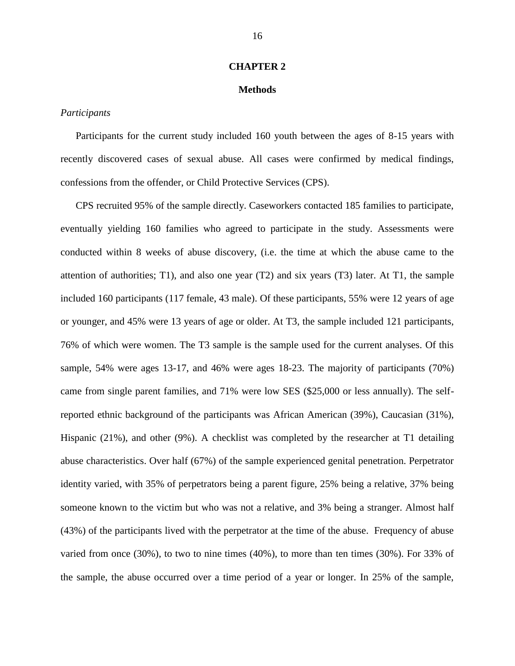#### **CHAPTER 2**

#### **Methods**

#### *Participants*

Participants for the current study included 160 youth between the ages of 8-15 years with recently discovered cases of sexual abuse. All cases were confirmed by medical findings, confessions from the offender, or Child Protective Services (CPS).

CPS recruited 95% of the sample directly. Caseworkers contacted 185 families to participate, eventually yielding 160 families who agreed to participate in the study. Assessments were conducted within 8 weeks of abuse discovery, (i.e. the time at which the abuse came to the attention of authorities; T1), and also one year (T2) and six years (T3) later. At T1, the sample included 160 participants (117 female, 43 male). Of these participants, 55% were 12 years of age or younger, and 45% were 13 years of age or older. At T3, the sample included 121 participants, 76% of which were women. The T3 sample is the sample used for the current analyses. Of this sample, 54% were ages 13-17, and 46% were ages 18-23. The majority of participants (70%) came from single parent families, and 71% were low SES (\$25,000 or less annually). The selfreported ethnic background of the participants was African American (39%), Caucasian (31%), Hispanic (21%), and other (9%). A checklist was completed by the researcher at T1 detailing abuse characteristics. Over half (67%) of the sample experienced genital penetration. Perpetrator identity varied, with 35% of perpetrators being a parent figure, 25% being a relative, 37% being someone known to the victim but who was not a relative, and 3% being a stranger. Almost half (43%) of the participants lived with the perpetrator at the time of the abuse. Frequency of abuse varied from once (30%), to two to nine times (40%), to more than ten times (30%). For 33% of the sample, the abuse occurred over a time period of a year or longer. In 25% of the sample,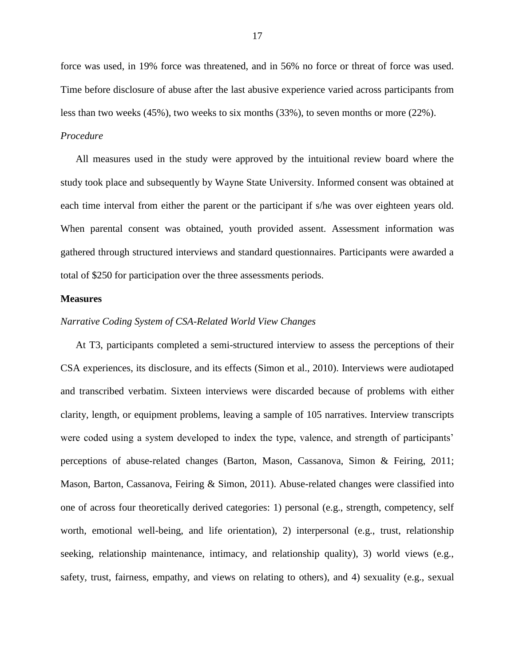force was used, in 19% force was threatened, and in 56% no force or threat of force was used. Time before disclosure of abuse after the last abusive experience varied across participants from less than two weeks (45%), two weeks to six months (33%), to seven months or more (22%).

## *Procedure*

All measures used in the study were approved by the intuitional review board where the study took place and subsequently by Wayne State University. Informed consent was obtained at each time interval from either the parent or the participant if s/he was over eighteen years old. When parental consent was obtained, youth provided assent. Assessment information was gathered through structured interviews and standard questionnaires. Participants were awarded a total of \$250 for participation over the three assessments periods.

#### **Measures**

#### *Narrative Coding System of CSA-Related World View Changes*

At T3, participants completed a semi-structured interview to assess the perceptions of their CSA experiences, its disclosure, and its effects (Simon et al., 2010). Interviews were audiotaped and transcribed verbatim. Sixteen interviews were discarded because of problems with either clarity, length, or equipment problems, leaving a sample of 105 narratives. Interview transcripts were coded using a system developed to index the type, valence, and strength of participants' perceptions of abuse-related changes (Barton, Mason, Cassanova, Simon & Feiring, 2011; Mason, Barton, Cassanova, Feiring & Simon, 2011). Abuse-related changes were classified into one of across four theoretically derived categories: 1) personal (e.g., strength, competency, self worth, emotional well-being, and life orientation), 2) interpersonal (e.g., trust, relationship seeking, relationship maintenance, intimacy, and relationship quality), 3) world views (e.g., safety, trust, fairness, empathy, and views on relating to others), and 4) sexuality (e.g., sexual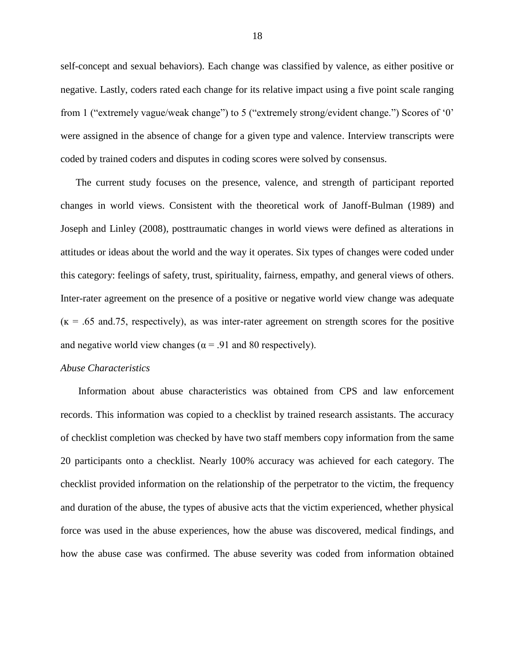self-concept and sexual behaviors). Each change was classified by valence, as either positive or negative. Lastly, coders rated each change for its relative impact using a five point scale ranging from 1 ("extremely vague/weak change") to 5 ("extremely strong/evident change.") Scores of '0' were assigned in the absence of change for a given type and valence. Interview transcripts were coded by trained coders and disputes in coding scores were solved by consensus.

The current study focuses on the presence, valence, and strength of participant reported changes in world views. Consistent with the theoretical work of Janoff-Bulman (1989) and Joseph and Linley (2008), posttraumatic changes in world views were defined as alterations in attitudes or ideas about the world and the way it operates. Six types of changes were coded under this category: feelings of safety, trust, spirituality, fairness, empathy, and general views of others. Inter-rater agreement on the presence of a positive or negative world view change was adequate  $(k = 0.65$  and 75, respectively), as was inter-rater agreement on strength scores for the positive and negative world view changes ( $\alpha$  = .91 and 80 respectively).

#### *Abuse Characteristics*

Information about abuse characteristics was obtained from CPS and law enforcement records. This information was copied to a checklist by trained research assistants. The accuracy of checklist completion was checked by have two staff members copy information from the same 20 participants onto a checklist. Nearly 100% accuracy was achieved for each category. The checklist provided information on the relationship of the perpetrator to the victim, the frequency and duration of the abuse, the types of abusive acts that the victim experienced, whether physical force was used in the abuse experiences, how the abuse was discovered, medical findings, and how the abuse case was confirmed. The abuse severity was coded from information obtained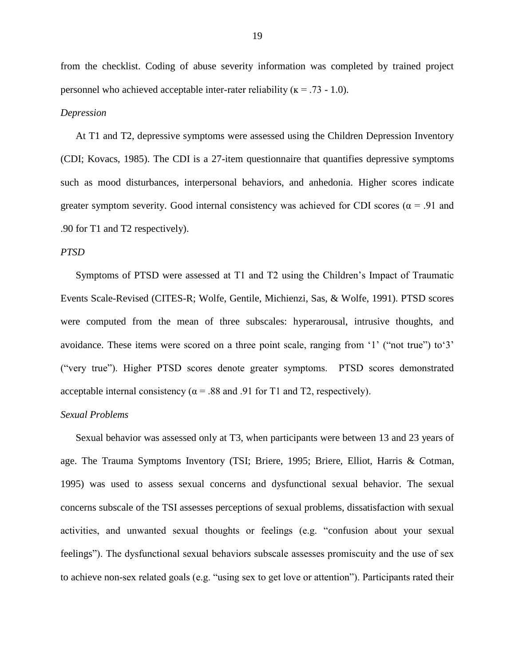from the checklist. Coding of abuse severity information was completed by trained project personnel who achieved acceptable inter-rater reliability ( $\kappa$  = .73 - 1.0).

#### *Depression*

At T1 and T2, depressive symptoms were assessed using the Children Depression Inventory (CDI; Kovacs, 1985). The CDI is a 27-item questionnaire that quantifies depressive symptoms such as mood disturbances, interpersonal behaviors, and anhedonia. Higher scores indicate greater symptom severity. Good internal consistency was achieved for CDI scores ( $\alpha$  = .91 and .90 for T1 and T2 respectively).

#### *PTSD*

Symptoms of PTSD were assessed at T1 and T2 using the Children's Impact of Traumatic Events Scale-Revised (CITES-R; Wolfe, Gentile, Michienzi, Sas, & Wolfe, 1991). PTSD scores were computed from the mean of three subscales: hyperarousal, intrusive thoughts, and avoidance. These items were scored on a three point scale, ranging from '1' ("not true") to'3' ("very true"). Higher PTSD scores denote greater symptoms. PTSD scores demonstrated acceptable internal consistency ( $\alpha$  = .88 and .91 for T1 and T2, respectively).

#### *Sexual Problems*

Sexual behavior was assessed only at T3, when participants were between 13 and 23 years of age. The Trauma Symptoms Inventory (TSI; Briere, 1995; Briere, Elliot, Harris & Cotman, 1995) was used to assess sexual concerns and dysfunctional sexual behavior. The sexual concerns subscale of the TSI assesses perceptions of sexual problems, dissatisfaction with sexual activities, and unwanted sexual thoughts or feelings (e.g. "confusion about your sexual feelings"). The dysfunctional sexual behaviors subscale assesses promiscuity and the use of sex to achieve non-sex related goals (e.g. "using sex to get love or attention"). Participants rated their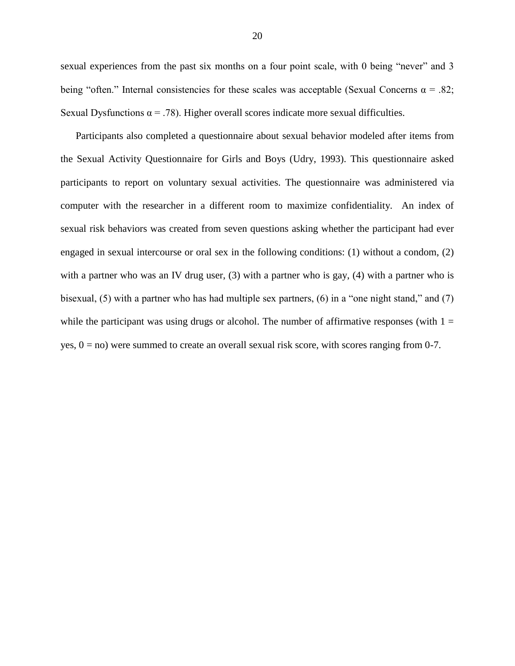sexual experiences from the past six months on a four point scale, with 0 being "never" and 3 being "often." Internal consistencies for these scales was acceptable (Sexual Concerns  $\alpha = .82$ ; Sexual Dysfunctions  $\alpha = .78$ ). Higher overall scores indicate more sexual difficulties.

Participants also completed a questionnaire about sexual behavior modeled after items from the Sexual Activity Questionnaire for Girls and Boys (Udry, 1993). This questionnaire asked participants to report on voluntary sexual activities. The questionnaire was administered via computer with the researcher in a different room to maximize confidentiality. An index of sexual risk behaviors was created from seven questions asking whether the participant had ever engaged in sexual intercourse or oral sex in the following conditions: (1) without a condom, (2) with a partner who was an IV drug user, (3) with a partner who is gay, (4) with a partner who is bisexual, (5) with a partner who has had multiple sex partners, (6) in a "one night stand," and (7) while the participant was using drugs or alcohol. The number of affirmative responses (with  $1 =$ yes,  $0 = no$ ) were summed to create an overall sexual risk score, with scores ranging from 0-7.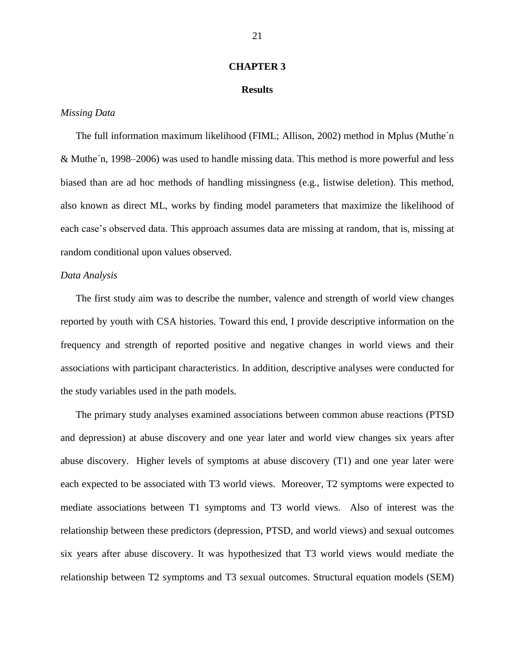#### **CHAPTER 3**

#### **Results**

#### *Missing Data*

The full information maximum likelihood (FIML; Allison, 2002) method in Mplus (Muthe´n & Muthe´n, 1998–2006) was used to handle missing data. This method is more powerful and less biased than are ad hoc methods of handling missingness (e.g., listwise deletion). This method, also known as direct ML, works by finding model parameters that maximize the likelihood of each case's observed data. This approach assumes data are missing at random, that is, missing at random conditional upon values observed.

#### *Data Analysis*

The first study aim was to describe the number, valence and strength of world view changes reported by youth with CSA histories. Toward this end, I provide descriptive information on the frequency and strength of reported positive and negative changes in world views and their associations with participant characteristics. In addition, descriptive analyses were conducted for the study variables used in the path models.

The primary study analyses examined associations between common abuse reactions (PTSD and depression) at abuse discovery and one year later and world view changes six years after abuse discovery. Higher levels of symptoms at abuse discovery (T1) and one year later were each expected to be associated with T3 world views. Moreover, T2 symptoms were expected to mediate associations between T1 symptoms and T3 world views. Also of interest was the relationship between these predictors (depression, PTSD, and world views) and sexual outcomes six years after abuse discovery. It was hypothesized that T3 world views would mediate the relationship between T2 symptoms and T3 sexual outcomes. Structural equation models (SEM)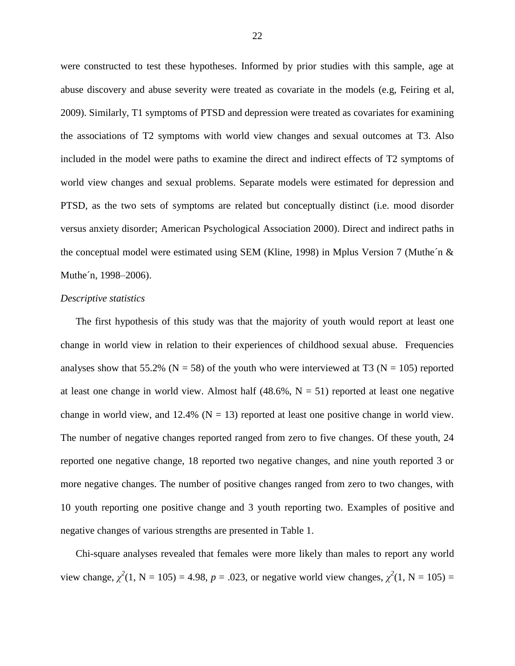were constructed to test these hypotheses. Informed by prior studies with this sample, age at abuse discovery and abuse severity were treated as covariate in the models (e.g, Feiring et al, 2009). Similarly, T1 symptoms of PTSD and depression were treated as covariates for examining the associations of T2 symptoms with world view changes and sexual outcomes at T3. Also included in the model were paths to examine the direct and indirect effects of T2 symptoms of world view changes and sexual problems. Separate models were estimated for depression and PTSD, as the two sets of symptoms are related but conceptually distinct (i.e. mood disorder versus anxiety disorder; American Psychological Association 2000). Direct and indirect paths in the conceptual model were estimated using SEM (Kline, 1998) in Mplus Version 7 (Muthe´n & Muthe´n, 1998–2006).

#### *Descriptive statistics*

The first hypothesis of this study was that the majority of youth would report at least one change in world view in relation to their experiences of childhood sexual abuse. Frequencies analyses show that 55.2% ( $N = 58$ ) of the youth who were interviewed at T3 ( $N = 105$ ) reported at least one change in world view. Almost half  $(48.6\%, N = 51)$  reported at least one negative change in world view, and 12.4% ( $N = 13$ ) reported at least one positive change in world view. The number of negative changes reported ranged from zero to five changes. Of these youth, 24 reported one negative change, 18 reported two negative changes, and nine youth reported 3 or more negative changes. The number of positive changes ranged from zero to two changes, with 10 youth reporting one positive change and 3 youth reporting two. Examples of positive and negative changes of various strengths are presented in Table 1.

Chi-square analyses revealed that females were more likely than males to report any world view change,  $\chi^2(1, N = 105) = 4.98$ ,  $p = .023$ , or negative world view changes,  $\chi^2(1, N = 105) =$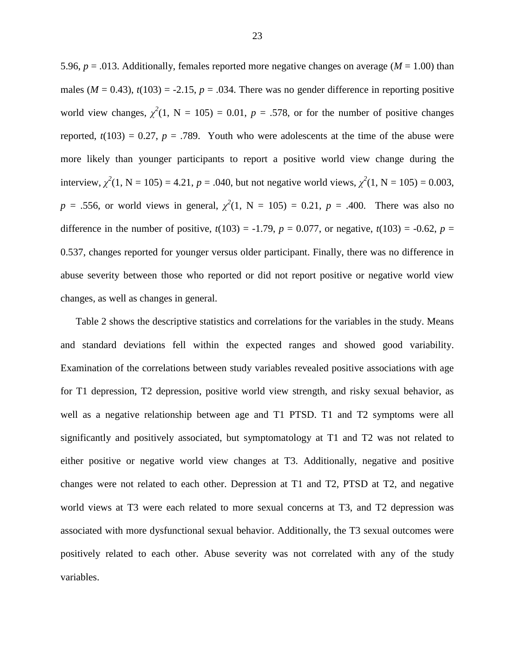5.96,  $p = .013$ . Additionally, females reported more negative changes on average ( $M = 1.00$ ) than males ( $M = 0.43$ ),  $t(103) = -2.15$ ,  $p = .034$ . There was no gender difference in reporting positive world view changes,  $\chi^2(1, N = 105) = 0.01$ ,  $p = .578$ , or for the number of positive changes reported,  $t(103) = 0.27$ ,  $p = .789$ . Youth who were adolescents at the time of the abuse were more likely than younger participants to report a positive world view change during the interview,  $\chi^2(1, N = 105) = 4.21$ ,  $p = .040$ , but not negative world views,  $\chi^2(1, N = 105) = 0.003$ , *p* = .556, or world views in general,  $\chi^2(1, N = 105) = 0.21$ , *p* = .400. There was also no difference in the number of positive,  $t(103) = -1.79$ ,  $p = 0.077$ , or negative,  $t(103) = -0.62$ ,  $p =$ 0.537, changes reported for younger versus older participant. Finally, there was no difference in abuse severity between those who reported or did not report positive or negative world view changes, as well as changes in general.

Table 2 shows the descriptive statistics and correlations for the variables in the study. Means and standard deviations fell within the expected ranges and showed good variability. Examination of the correlations between study variables revealed positive associations with age for T1 depression, T2 depression, positive world view strength, and risky sexual behavior, as well as a negative relationship between age and T1 PTSD. T1 and T2 symptoms were all significantly and positively associated, but symptomatology at T1 and T2 was not related to either positive or negative world view changes at T3. Additionally, negative and positive changes were not related to each other. Depression at T1 and T2, PTSD at T2, and negative world views at T3 were each related to more sexual concerns at T3, and T2 depression was associated with more dysfunctional sexual behavior. Additionally, the T3 sexual outcomes were positively related to each other. Abuse severity was not correlated with any of the study variables.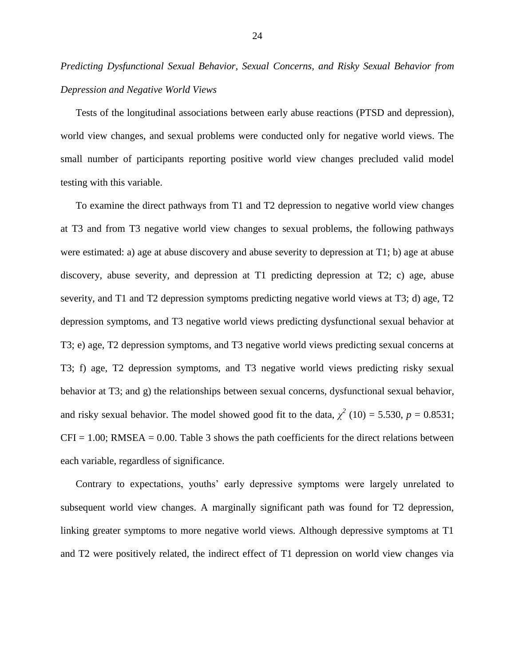*Predicting Dysfunctional Sexual Behavior, Sexual Concerns, and Risky Sexual Behavior from Depression and Negative World Views*

Tests of the longitudinal associations between early abuse reactions (PTSD and depression), world view changes, and sexual problems were conducted only for negative world views. The small number of participants reporting positive world view changes precluded valid model testing with this variable.

To examine the direct pathways from T1 and T2 depression to negative world view changes at T3 and from T3 negative world view changes to sexual problems, the following pathways were estimated: a) age at abuse discovery and abuse severity to depression at T1; b) age at abuse discovery, abuse severity, and depression at T1 predicting depression at T2; c) age, abuse severity, and T1 and T2 depression symptoms predicting negative world views at T3; d) age, T2 depression symptoms, and T3 negative world views predicting dysfunctional sexual behavior at T3; e) age, T2 depression symptoms, and T3 negative world views predicting sexual concerns at T3; f) age, T2 depression symptoms, and T3 negative world views predicting risky sexual behavior at T3; and g) the relationships between sexual concerns, dysfunctional sexual behavior, and risky sexual behavior. The model showed good fit to the data,  $\chi^2$  (10) = 5.530, *p* = 0.8531;  $CFI = 1.00$ ; RMSEA = 0.00. Table 3 shows the path coefficients for the direct relations between each variable, regardless of significance.

Contrary to expectations, youths' early depressive symptoms were largely unrelated to subsequent world view changes. A marginally significant path was found for T2 depression, linking greater symptoms to more negative world views. Although depressive symptoms at T1 and T2 were positively related, the indirect effect of T1 depression on world view changes via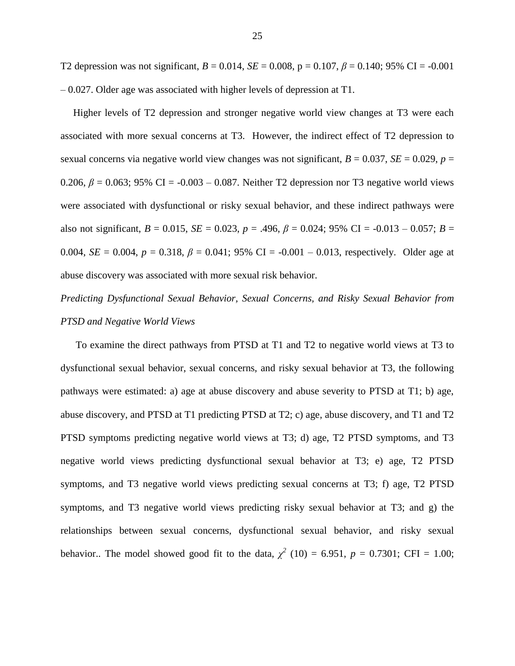T2 depression was not significant,  $B = 0.014$ ,  $SE = 0.008$ ,  $p = 0.107$ ,  $\beta = 0.140$ ; 95% CI = -0.001 – 0.027. Older age was associated with higher levels of depression at T1.

 Higher levels of T2 depression and stronger negative world view changes at T3 were each associated with more sexual concerns at T3. However, the indirect effect of T2 depression to sexual concerns via negative world view changes was not significant,  $B = 0.037$ ,  $SE = 0.029$ ,  $p =$ 0.206,  $\beta$  = 0.063; 95% CI = -0.003 – 0.087. Neither T2 depression nor T3 negative world views were associated with dysfunctional or risky sexual behavior, and these indirect pathways were also not significant,  $B = 0.015$ ,  $SE = 0.023$ ,  $p = .496$ ,  $\beta = 0.024$ ;  $95\%$  CI =  $-0.013 - 0.057$ ;  $B =$ 0.004,  $SE = 0.004$ ,  $p = 0.318$ ,  $\beta = 0.041$ ; 95% CI = -0.001 – 0.013, respectively. Older age at abuse discovery was associated with more sexual risk behavior.

## *Predicting Dysfunctional Sexual Behavior, Sexual Concerns, and Risky Sexual Behavior from PTSD and Negative World Views*

To examine the direct pathways from PTSD at T1 and T2 to negative world views at T3 to dysfunctional sexual behavior, sexual concerns, and risky sexual behavior at T3, the following pathways were estimated: a) age at abuse discovery and abuse severity to PTSD at T1; b) age, abuse discovery, and PTSD at T1 predicting PTSD at T2; c) age, abuse discovery, and T1 and T2 PTSD symptoms predicting negative world views at T3; d) age, T2 PTSD symptoms, and T3 negative world views predicting dysfunctional sexual behavior at T3; e) age, T2 PTSD symptoms, and T3 negative world views predicting sexual concerns at T3; f) age, T2 PTSD symptoms, and T3 negative world views predicting risky sexual behavior at T3; and g) the relationships between sexual concerns, dysfunctional sexual behavior, and risky sexual behavior.. The model showed good fit to the data,  $\chi^2$  (10) = 6.951,  $p = 0.7301$ ; CFI = 1.00;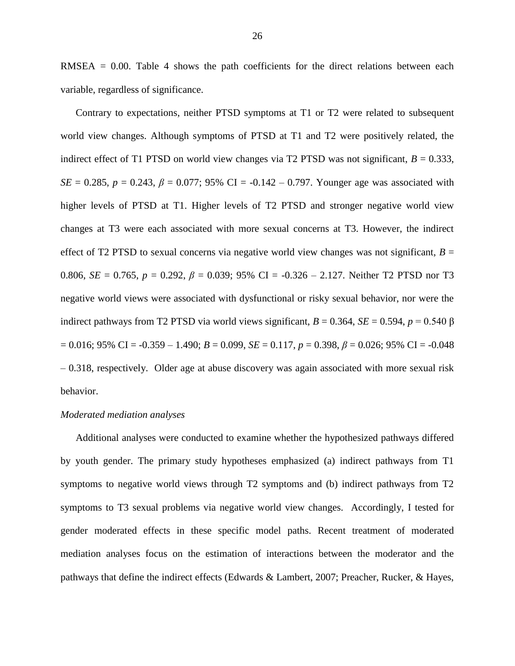RMSEA  $= 0.00$ . Table 4 shows the path coefficients for the direct relations between each variable, regardless of significance.

Contrary to expectations, neither PTSD symptoms at T1 or T2 were related to subsequent world view changes. Although symptoms of PTSD at T1 and T2 were positively related, the indirect effect of T1 PTSD on world view changes via T2 PTSD was not significant,  $B = 0.333$ , *SE* = 0.285, *p* = 0.243,  $\beta$  = 0.077; 95% CI = -0.142 – 0.797. Younger age was associated with higher levels of PTSD at T1. Higher levels of T2 PTSD and stronger negative world view changes at T3 were each associated with more sexual concerns at T3. However, the indirect effect of T2 PTSD to sexual concerns via negative world view changes was not significant,  $B =$ 0.806,  $SE = 0.765$ ,  $p = 0.292$ ,  $\beta = 0.039$ ; 95% CI = -0.326 – 2.127. Neither T2 PTSD nor T3 negative world views were associated with dysfunctional or risky sexual behavior, nor were the indirect pathways from T2 PTSD via world views significant,  $B = 0.364$ ,  $SE = 0.594$ ,  $p = 0.540$   $\beta$  $= 0.016$ ; 95% CI =  $-0.359 - 1.490$ ;  $B = 0.099$ ,  $SE = 0.117$ ,  $p = 0.398$ ,  $\beta = 0.026$ ; 95% CI =  $-0.048$ – 0.318, respectively. Older age at abuse discovery was again associated with more sexual risk behavior.

#### *Moderated mediation analyses*

Additional analyses were conducted to examine whether the hypothesized pathways differed by youth gender. The primary study hypotheses emphasized (a) indirect pathways from T1 symptoms to negative world views through T2 symptoms and (b) indirect pathways from T2 symptoms to T3 sexual problems via negative world view changes. Accordingly, I tested for gender moderated effects in these specific model paths. Recent treatment of moderated mediation analyses focus on the estimation of interactions between the moderator and the pathways that define the indirect effects (Edwards & Lambert, 2007; Preacher, Rucker, & Hayes,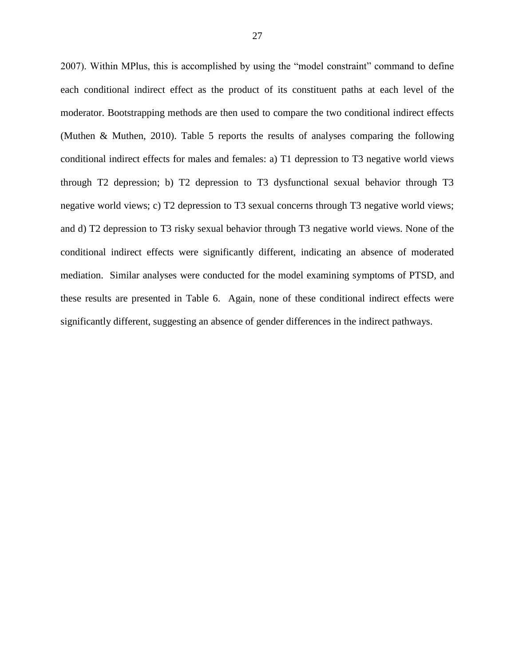2007). Within MPlus, this is accomplished by using the "model constraint" command to define each conditional indirect effect as the product of its constituent paths at each level of the moderator. Bootstrapping methods are then used to compare the two conditional indirect effects (Muthen & Muthen, 2010). Table 5 reports the results of analyses comparing the following conditional indirect effects for males and females: a) T1 depression to T3 negative world views through T2 depression; b) T2 depression to T3 dysfunctional sexual behavior through T3 negative world views; c) T2 depression to T3 sexual concerns through T3 negative world views; and d) T2 depression to T3 risky sexual behavior through T3 negative world views. None of the conditional indirect effects were significantly different, indicating an absence of moderated mediation. Similar analyses were conducted for the model examining symptoms of PTSD, and these results are presented in Table 6. Again, none of these conditional indirect effects were significantly different, suggesting an absence of gender differences in the indirect pathways.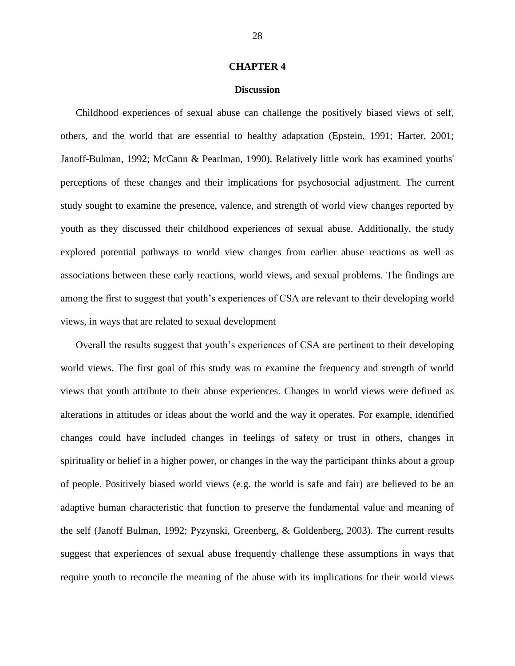#### **CHAPTER 4**

#### **Discussion**

Childhood experiences of sexual abuse can challenge the positively biased views of self, others, and the world that are essential to healthy adaptation (Epstein, 1991; Harter, 2001; Janoff-Bulman, 1992; McCann & Pearlman, 1990). Relatively little work has examined youths' perceptions of these changes and their implications for psychosocial adjustment. The current study sought to examine the presence, valence, and strength of world view changes reported by youth as they discussed their childhood experiences of sexual abuse. Additionally, the study explored potential pathways to world view changes from earlier abuse reactions as well as associations between these early reactions, world views, and sexual problems. The findings are among the first to suggest that youth's experiences of CSA are relevant to their developing world views, in ways that are related to sexual development

Overall the results suggest that youth's experiences of CSA are pertinent to their developing world views. The first goal of this study was to examine the frequency and strength of world views that youth attribute to their abuse experiences. Changes in world views were defined as alterations in attitudes or ideas about the world and the way it operates. For example, identified changes could have included changes in feelings of safety or trust in others, changes in spirituality or belief in a higher power, or changes in the way the participant thinks about a group of people. Positively biased world views (e.g. the world is safe and fair) are believed to be an adaptive human characteristic that function to preserve the fundamental value and meaning of the self (Janoff Bulman, 1992; Pyzynski, Greenberg, & Goldenberg, 2003). The current results suggest that experiences of sexual abuse frequently challenge these assumptions in ways that require youth to reconcile the meaning of the abuse with its implications for their world views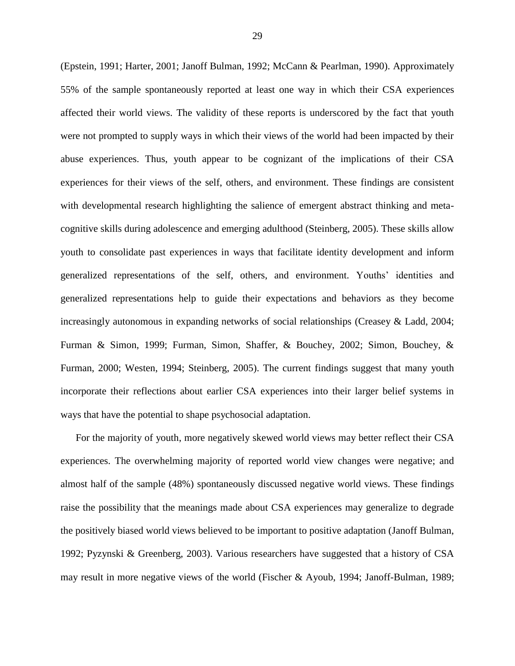(Epstein, 1991; Harter, 2001; Janoff Bulman, 1992; McCann & Pearlman, 1990). Approximately 55% of the sample spontaneously reported at least one way in which their CSA experiences affected their world views. The validity of these reports is underscored by the fact that youth were not prompted to supply ways in which their views of the world had been impacted by their abuse experiences. Thus, youth appear to be cognizant of the implications of their CSA experiences for their views of the self, others, and environment. These findings are consistent with developmental research highlighting the salience of emergent abstract thinking and metacognitive skills during adolescence and emerging adulthood (Steinberg, 2005). These skills allow youth to consolidate past experiences in ways that facilitate identity development and inform generalized representations of the self, others, and environment. Youths' identities and generalized representations help to guide their expectations and behaviors as they become increasingly autonomous in expanding networks of social relationships (Creasey & Ladd, 2004; Furman & Simon, 1999; Furman, Simon, Shaffer, & Bouchey, 2002; Simon, Bouchey, & Furman, 2000; Westen, 1994; Steinberg, 2005). The current findings suggest that many youth incorporate their reflections about earlier CSA experiences into their larger belief systems in ways that have the potential to shape psychosocial adaptation.

For the majority of youth, more negatively skewed world views may better reflect their CSA experiences. The overwhelming majority of reported world view changes were negative; and almost half of the sample (48%) spontaneously discussed negative world views. These findings raise the possibility that the meanings made about CSA experiences may generalize to degrade the positively biased world views believed to be important to positive adaptation (Janoff Bulman, 1992; Pyzynski & Greenberg, 2003). Various researchers have suggested that a history of CSA may result in more negative views of the world (Fischer & Ayoub, 1994; Janoff-Bulman, 1989;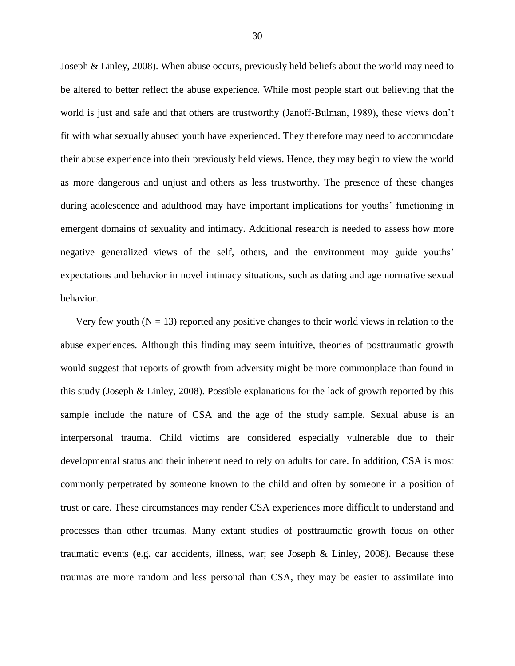Joseph & Linley, 2008). When abuse occurs, previously held beliefs about the world may need to be altered to better reflect the abuse experience. While most people start out believing that the world is just and safe and that others are trustworthy (Janoff-Bulman, 1989), these views don't fit with what sexually abused youth have experienced. They therefore may need to accommodate their abuse experience into their previously held views. Hence, they may begin to view the world as more dangerous and unjust and others as less trustworthy. The presence of these changes during adolescence and adulthood may have important implications for youths' functioning in emergent domains of sexuality and intimacy. Additional research is needed to assess how more negative generalized views of the self, others, and the environment may guide youths' expectations and behavior in novel intimacy situations, such as dating and age normative sexual behavior.

Very few youth  $(N = 13)$  reported any positive changes to their world views in relation to the abuse experiences. Although this finding may seem intuitive, theories of posttraumatic growth would suggest that reports of growth from adversity might be more commonplace than found in this study (Joseph & Linley, 2008). Possible explanations for the lack of growth reported by this sample include the nature of CSA and the age of the study sample. Sexual abuse is an interpersonal trauma. Child victims are considered especially vulnerable due to their developmental status and their inherent need to rely on adults for care. In addition, CSA is most commonly perpetrated by someone known to the child and often by someone in a position of trust or care. These circumstances may render CSA experiences more difficult to understand and processes than other traumas. Many extant studies of posttraumatic growth focus on other traumatic events (e.g. car accidents, illness, war; see Joseph & Linley, 2008). Because these traumas are more random and less personal than CSA, they may be easier to assimilate into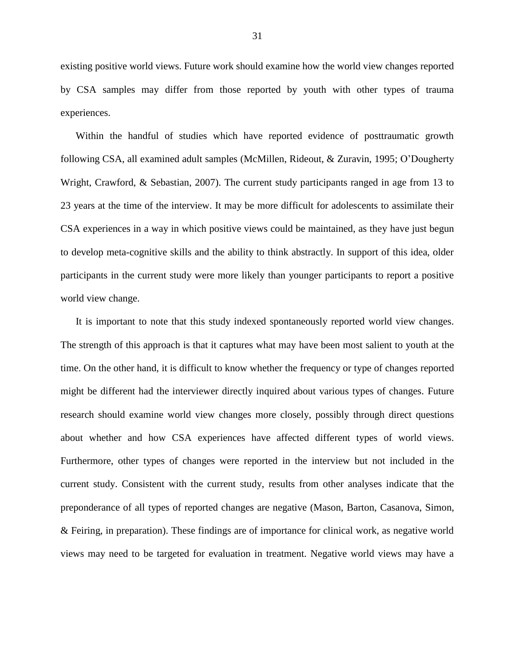existing positive world views. Future work should examine how the world view changes reported by CSA samples may differ from those reported by youth with other types of trauma experiences.

Within the handful of studies which have reported evidence of posttraumatic growth following CSA, all examined adult samples (McMillen, Rideout, & Zuravin, 1995; O'Dougherty Wright, Crawford, & Sebastian, 2007). The current study participants ranged in age from 13 to 23 years at the time of the interview. It may be more difficult for adolescents to assimilate their CSA experiences in a way in which positive views could be maintained, as they have just begun to develop meta-cognitive skills and the ability to think abstractly. In support of this idea, older participants in the current study were more likely than younger participants to report a positive world view change.

It is important to note that this study indexed spontaneously reported world view changes. The strength of this approach is that it captures what may have been most salient to youth at the time. On the other hand, it is difficult to know whether the frequency or type of changes reported might be different had the interviewer directly inquired about various types of changes. Future research should examine world view changes more closely, possibly through direct questions about whether and how CSA experiences have affected different types of world views. Furthermore, other types of changes were reported in the interview but not included in the current study. Consistent with the current study, results from other analyses indicate that the preponderance of all types of reported changes are negative (Mason, Barton, Casanova, Simon, & Feiring, in preparation). These findings are of importance for clinical work, as negative world views may need to be targeted for evaluation in treatment. Negative world views may have a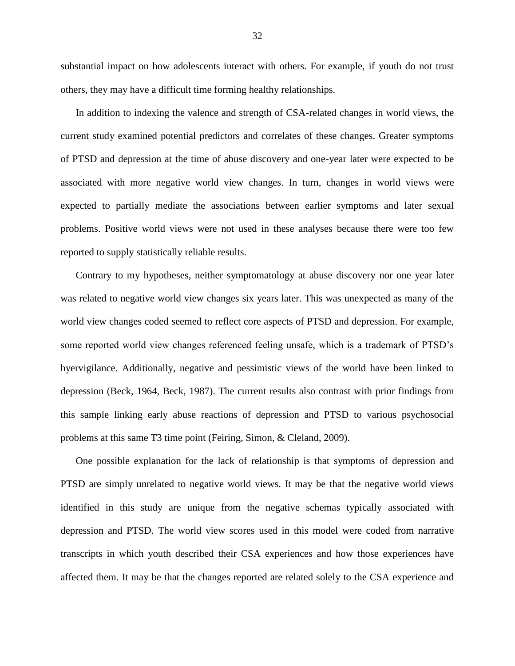substantial impact on how adolescents interact with others. For example, if youth do not trust others, they may have a difficult time forming healthy relationships.

In addition to indexing the valence and strength of CSA-related changes in world views, the current study examined potential predictors and correlates of these changes. Greater symptoms of PTSD and depression at the time of abuse discovery and one-year later were expected to be associated with more negative world view changes. In turn, changes in world views were expected to partially mediate the associations between earlier symptoms and later sexual problems. Positive world views were not used in these analyses because there were too few reported to supply statistically reliable results.

Contrary to my hypotheses, neither symptomatology at abuse discovery nor one year later was related to negative world view changes six years later. This was unexpected as many of the world view changes coded seemed to reflect core aspects of PTSD and depression. For example, some reported world view changes referenced feeling unsafe, which is a trademark of PTSD's hyervigilance. Additionally, negative and pessimistic views of the world have been linked to depression (Beck, 1964, Beck, 1987). The current results also contrast with prior findings from this sample linking early abuse reactions of depression and PTSD to various psychosocial problems at this same T3 time point (Feiring, Simon, & Cleland, 2009).

One possible explanation for the lack of relationship is that symptoms of depression and PTSD are simply unrelated to negative world views. It may be that the negative world views identified in this study are unique from the negative schemas typically associated with depression and PTSD. The world view scores used in this model were coded from narrative transcripts in which youth described their CSA experiences and how those experiences have affected them. It may be that the changes reported are related solely to the CSA experience and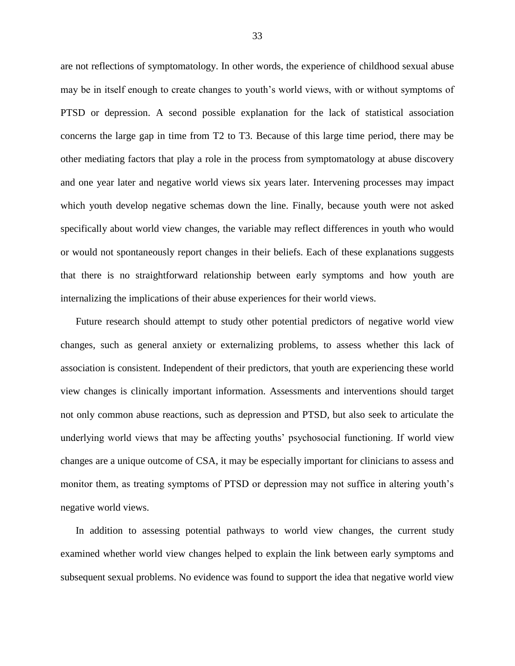are not reflections of symptomatology. In other words, the experience of childhood sexual abuse may be in itself enough to create changes to youth's world views, with or without symptoms of PTSD or depression. A second possible explanation for the lack of statistical association concerns the large gap in time from T2 to T3. Because of this large time period, there may be other mediating factors that play a role in the process from symptomatology at abuse discovery and one year later and negative world views six years later. Intervening processes may impact which youth develop negative schemas down the line. Finally, because youth were not asked specifically about world view changes, the variable may reflect differences in youth who would or would not spontaneously report changes in their beliefs. Each of these explanations suggests that there is no straightforward relationship between early symptoms and how youth are internalizing the implications of their abuse experiences for their world views.

Future research should attempt to study other potential predictors of negative world view changes, such as general anxiety or externalizing problems, to assess whether this lack of association is consistent. Independent of their predictors, that youth are experiencing these world view changes is clinically important information. Assessments and interventions should target not only common abuse reactions, such as depression and PTSD, but also seek to articulate the underlying world views that may be affecting youths' psychosocial functioning. If world view changes are a unique outcome of CSA, it may be especially important for clinicians to assess and monitor them, as treating symptoms of PTSD or depression may not suffice in altering youth's negative world views.

In addition to assessing potential pathways to world view changes, the current study examined whether world view changes helped to explain the link between early symptoms and subsequent sexual problems. No evidence was found to support the idea that negative world view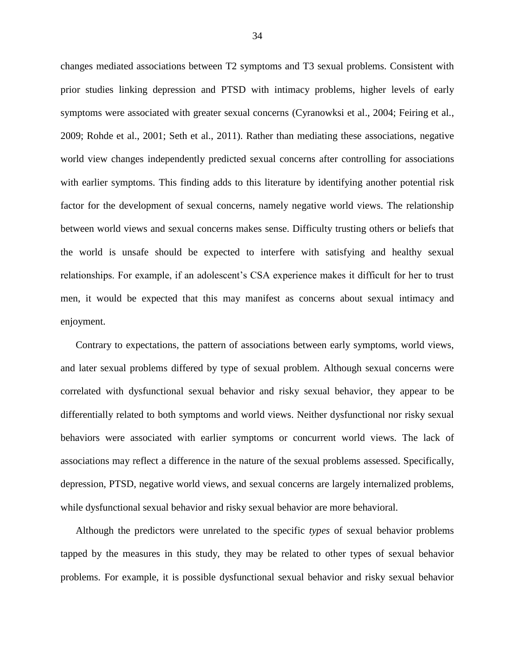changes mediated associations between T2 symptoms and T3 sexual problems. Consistent with prior studies linking depression and PTSD with intimacy problems, higher levels of early symptoms were associated with greater sexual concerns (Cyranowksi et al., 2004; Feiring et al., 2009; Rohde et al., 2001; Seth et al., 2011). Rather than mediating these associations, negative world view changes independently predicted sexual concerns after controlling for associations with earlier symptoms. This finding adds to this literature by identifying another potential risk factor for the development of sexual concerns, namely negative world views. The relationship between world views and sexual concerns makes sense. Difficulty trusting others or beliefs that the world is unsafe should be expected to interfere with satisfying and healthy sexual relationships. For example, if an adolescent's CSA experience makes it difficult for her to trust men, it would be expected that this may manifest as concerns about sexual intimacy and enjoyment.

Contrary to expectations, the pattern of associations between early symptoms, world views, and later sexual problems differed by type of sexual problem. Although sexual concerns were correlated with dysfunctional sexual behavior and risky sexual behavior, they appear to be differentially related to both symptoms and world views. Neither dysfunctional nor risky sexual behaviors were associated with earlier symptoms or concurrent world views. The lack of associations may reflect a difference in the nature of the sexual problems assessed. Specifically, depression, PTSD, negative world views, and sexual concerns are largely internalized problems, while dysfunctional sexual behavior and risky sexual behavior are more behavioral.

Although the predictors were unrelated to the specific *types* of sexual behavior problems tapped by the measures in this study, they may be related to other types of sexual behavior problems. For example, it is possible dysfunctional sexual behavior and risky sexual behavior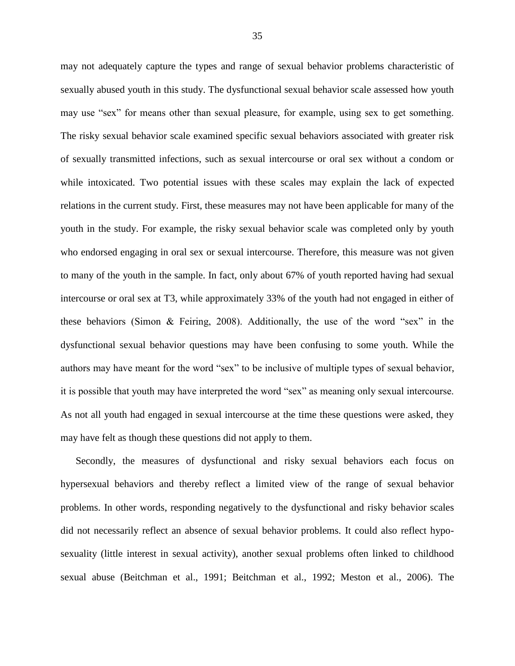may not adequately capture the types and range of sexual behavior problems characteristic of sexually abused youth in this study. The dysfunctional sexual behavior scale assessed how youth may use "sex" for means other than sexual pleasure, for example, using sex to get something. The risky sexual behavior scale examined specific sexual behaviors associated with greater risk of sexually transmitted infections, such as sexual intercourse or oral sex without a condom or while intoxicated. Two potential issues with these scales may explain the lack of expected relations in the current study. First, these measures may not have been applicable for many of the youth in the study. For example, the risky sexual behavior scale was completed only by youth who endorsed engaging in oral sex or sexual intercourse. Therefore, this measure was not given to many of the youth in the sample. In fact, only about 67% of youth reported having had sexual intercourse or oral sex at T3, while approximately 33% of the youth had not engaged in either of these behaviors (Simon & Feiring, 2008). Additionally, the use of the word "sex" in the dysfunctional sexual behavior questions may have been confusing to some youth. While the authors may have meant for the word "sex" to be inclusive of multiple types of sexual behavior, it is possible that youth may have interpreted the word "sex" as meaning only sexual intercourse. As not all youth had engaged in sexual intercourse at the time these questions were asked, they may have felt as though these questions did not apply to them.

Secondly, the measures of dysfunctional and risky sexual behaviors each focus on hypersexual behaviors and thereby reflect a limited view of the range of sexual behavior problems. In other words, responding negatively to the dysfunctional and risky behavior scales did not necessarily reflect an absence of sexual behavior problems. It could also reflect hyposexuality (little interest in sexual activity), another sexual problems often linked to childhood sexual abuse (Beitchman et al., 1991; Beitchman et al., 1992; Meston et al., 2006). The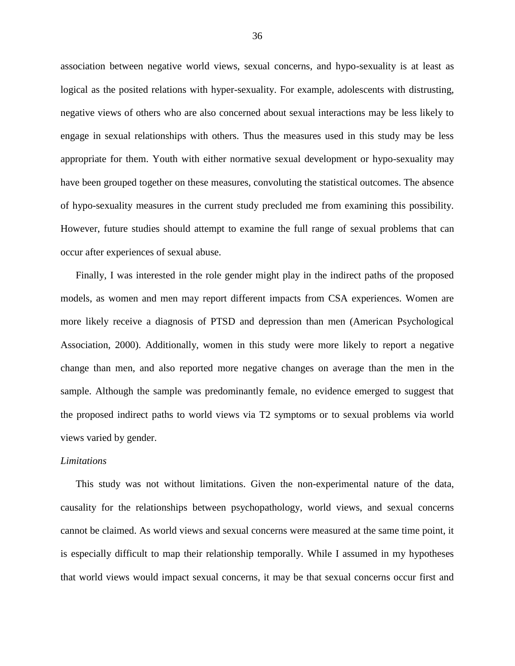association between negative world views, sexual concerns, and hypo-sexuality is at least as logical as the posited relations with hyper-sexuality. For example, adolescents with distrusting, negative views of others who are also concerned about sexual interactions may be less likely to engage in sexual relationships with others. Thus the measures used in this study may be less appropriate for them. Youth with either normative sexual development or hypo-sexuality may have been grouped together on these measures, convoluting the statistical outcomes. The absence of hypo-sexuality measures in the current study precluded me from examining this possibility. However, future studies should attempt to examine the full range of sexual problems that can occur after experiences of sexual abuse.

Finally, I was interested in the role gender might play in the indirect paths of the proposed models, as women and men may report different impacts from CSA experiences. Women are more likely receive a diagnosis of PTSD and depression than men (American Psychological Association, 2000). Additionally, women in this study were more likely to report a negative change than men, and also reported more negative changes on average than the men in the sample. Although the sample was predominantly female, no evidence emerged to suggest that the proposed indirect paths to world views via T2 symptoms or to sexual problems via world views varied by gender.

#### *Limitations*

This study was not without limitations. Given the non-experimental nature of the data, causality for the relationships between psychopathology, world views, and sexual concerns cannot be claimed. As world views and sexual concerns were measured at the same time point, it is especially difficult to map their relationship temporally. While I assumed in my hypotheses that world views would impact sexual concerns, it may be that sexual concerns occur first and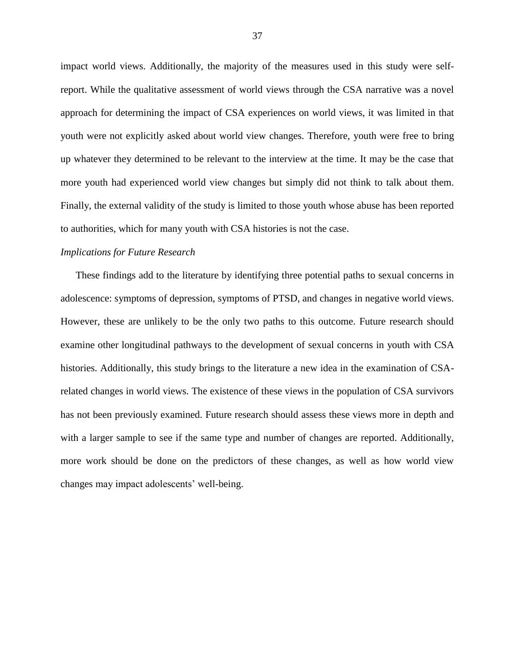impact world views. Additionally, the majority of the measures used in this study were selfreport. While the qualitative assessment of world views through the CSA narrative was a novel approach for determining the impact of CSA experiences on world views, it was limited in that youth were not explicitly asked about world view changes. Therefore, youth were free to bring up whatever they determined to be relevant to the interview at the time. It may be the case that more youth had experienced world view changes but simply did not think to talk about them. Finally, the external validity of the study is limited to those youth whose abuse has been reported to authorities, which for many youth with CSA histories is not the case.

#### *Implications for Future Research*

These findings add to the literature by identifying three potential paths to sexual concerns in adolescence: symptoms of depression, symptoms of PTSD, and changes in negative world views. However, these are unlikely to be the only two paths to this outcome. Future research should examine other longitudinal pathways to the development of sexual concerns in youth with CSA histories. Additionally, this study brings to the literature a new idea in the examination of CSArelated changes in world views. The existence of these views in the population of CSA survivors has not been previously examined. Future research should assess these views more in depth and with a larger sample to see if the same type and number of changes are reported. Additionally, more work should be done on the predictors of these changes, as well as how world view changes may impact adolescents' well-being.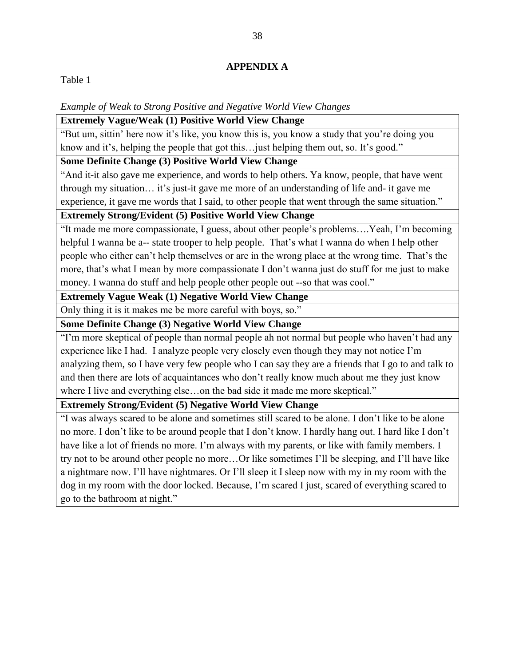#### **APPENDIX A**

Table 1

#### *Example of Weak to Strong Positive and Negative World View Changes*

#### **Extremely Vague/Weak (1) Positive World View Change**

"But um, sittin' here now it's like, you know this is, you know a study that you're doing you know and it's, helping the people that got this... just helping them out, so. It's good."

#### **Some Definite Change (3) Positive World View Change**

"And it-it also gave me experience, and words to help others. Ya know, people, that have went through my situation… it's just-it gave me more of an understanding of life and- it gave me experience, it gave me words that I said, to other people that went through the same situation."

#### **Extremely Strong/Evident (5) Positive World View Change**

"It made me more compassionate, I guess, about other people's problems….Yeah, I'm becoming helpful I wanna be a-- state trooper to help people. That's what I wanna do when I help other people who either can't help themselves or are in the wrong place at the wrong time. That's the more, that's what I mean by more compassionate I don't wanna just do stuff for me just to make money. I wanna do stuff and help people other people out --so that was cool."

#### **Extremely Vague Weak (1) Negative World View Change**

Only thing it is it makes me be more careful with boys, so."

### **Some Definite Change (3) Negative World View Change**

"I'm more skeptical of people than normal people ah not normal but people who haven't had any experience like I had. I analyze people very closely even though they may not notice I'm analyzing them, so I have very few people who I can say they are a friends that I go to and talk to and then there are lots of acquaintances who don't really know much about me they just know where I live and everything else...on the bad side it made me more skeptical."

**Extremely Strong/Evident (5) Negative World View Change**

"I was always scared to be alone and sometimes still scared to be alone. I don't like to be alone no more. I don't like to be around people that I don't know. I hardly hang out. I hard like I don't have like a lot of friends no more. I'm always with my parents, or like with family members. I try not to be around other people no more…Or like sometimes I'll be sleeping, and I'll have like a nightmare now. I'll have nightmares. Or I'll sleep it I sleep now with my in my room with the dog in my room with the door locked. Because, I'm scared I just, scared of everything scared to go to the bathroom at night."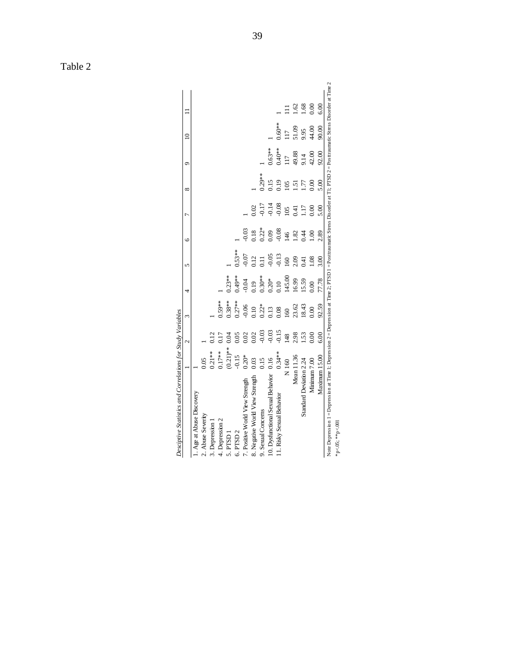| Desciptive Statistics and Correlations for Study Variables                                                                                                                    |             |               |            |           |          |                |                |                 |                 |                 |      |
|-------------------------------------------------------------------------------------------------------------------------------------------------------------------------------|-------------|---------------|------------|-----------|----------|----------------|----------------|-----------------|-----------------|-----------------|------|
|                                                                                                                                                                               |             | $\mathcal{L}$ | $\epsilon$ | 4         | 5        | G              |                | ∞               | $\circ$         | $\overline{a}$  |      |
| 1. Age at Abuse Discovery                                                                                                                                                     |             |               |            |           |          |                |                |                 |                 |                 |      |
| 2. Abuse Severity                                                                                                                                                             | 0.05        |               |            |           |          |                |                |                 |                 |                 |      |
| 3. Depression 1                                                                                                                                                               | $0.21**$    | 0.12          |            |           |          |                |                |                 |                 |                 |      |
| 4. Depression 2                                                                                                                                                               | $0.17**$    |               | $0.59**$   |           |          |                |                |                 |                 |                 |      |
| 5. PTSD 1                                                                                                                                                                     | $(0.21)$ ** | Э.О4          | $0.38***$  | $0.23**$  |          |                |                |                 |                 |                 |      |
| 6. PTSD 2                                                                                                                                                                     | $-0.15$     | 0.05          | $0.27**$   | $0.49***$ | $0.53**$ |                |                |                 |                 |                 |      |
| 7. Positive World View Strength                                                                                                                                               | $0.20*$     | 0.02          | $-0.06$    | 0.04      | $-0.07$  | 0.03           |                |                 |                 |                 |      |
| 8. Negative World View Strength                                                                                                                                               | 0.03        | 0.02          | 0.10       | 910       | 112      | 0.18           | 0.02           |                 |                 |                 |      |
| 9. Sexual Concerns                                                                                                                                                            | 0.15        | $-0.03$       | $0.22*$    | $0.30**$  | $\Xi$    | $0.22*$        | $-0.17$        | $0.29***$       |                 |                 |      |
| 10. Dysfunctional Sexual Behavior                                                                                                                                             | 0.16        | $-0.03$       | 0.13       | $0.20*$   | $-0.05$  | 0.09           | 0.14           | 0.15            | $0.63**$        |                 |      |
| 11. Risky Sexual Behavior                                                                                                                                                     | $0.34**$    | $-0.15$       | 0.08       | 0.10      | $-0.13$  | $-0.08$        | 0.08           | 0.19            | $0.40**$        | $0.60**$        |      |
|                                                                                                                                                                               | N160        | 148           | 60         | 145.00    | 160      | $\frac{46}{5}$ | $\overline{0}$ | $\mathcal{S}^0$ | $\overline{11}$ | $\overline{17}$ |      |
|                                                                                                                                                                               | Mean 11.36  | 2.98          | 23.62      | 16.99     | 2.09     | 1.82           | (4)            | $\overline{5}$  | 49.88           | 51.09           | 1.62 |
| Standard Deviation 2.24                                                                                                                                                       |             | 1.53          | 18.43      | 15.59     | 0.41     | 0.44           | 117            | J.              | 9.14            | 9.95            | .68  |
| Minimum 7.00                                                                                                                                                                  |             | 0.00          | 0.00       | 00(       | 1.08     | $\overline{0}$ | 00(            | 00 <sup>1</sup> | 42.00           | 44.00           | 0.00 |
| Maximum 15.00                                                                                                                                                                 |             | 6.00          | 92.59      | 77.78     | 3.00     | 2.89           | 5.00           | 5.00            | 92.00           | 90.00           | 6.00 |
| Note Depression 1 = Depression at Time 1; Depression 2 = Depression at Time 2; PTSD 1 = Posttraumatic Stress Disorder at T1; PTSD 2 = Posttraumatic Stress Disorder at Time 2 |             |               |            |           |          |                |                |                 |                 |                 |      |
| *p<.05; **p<.001                                                                                                                                                              |             |               |            |           |          |                |                |                 |                 |                 |      |

Desciptive Statistics and Correlations for Study Variables

Table 2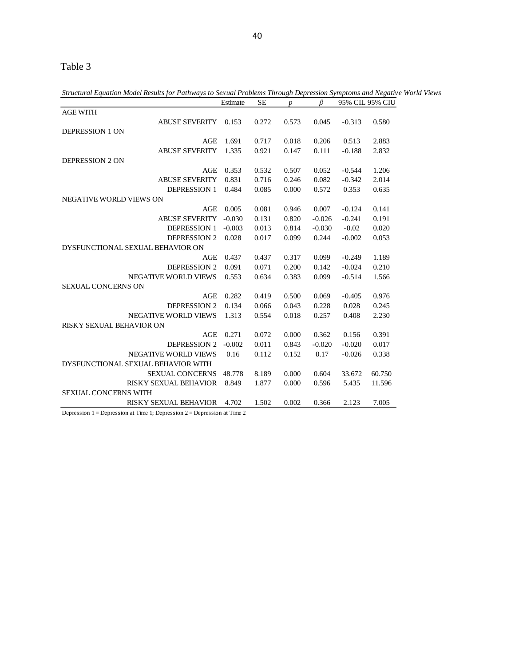## Table 3

*Structural Equation Model Results for Pathways to Sexual Problems Through Depression Symptoms and Negative World Views*

|                                    | Estimate | <b>SE</b> | $\boldsymbol{p}$ | B        |          | 95% CIL 95% CIU |
|------------------------------------|----------|-----------|------------------|----------|----------|-----------------|
| <b>AGE WITH</b>                    |          |           |                  |          |          |                 |
| <b>ABUSE SEVERITY</b>              | 0.153    | 0.272     | 0.573            | 0.045    | $-0.313$ | 0.580           |
| <b>DEPRESSION 1 ON</b>             |          |           |                  |          |          |                 |
| AGE                                | 1.691    | 0.717     | 0.018            | 0.206    | 0.513    | 2.883           |
| <b>ABUSE SEVERITY</b>              | 1.335    | 0.921     | 0.147            | 0.111    | $-0.188$ | 2.832           |
| <b>DEPRESSION 2 ON</b>             |          |           |                  |          |          |                 |
| AGE                                | 0.353    | 0.532     | 0.507            | 0.052    | $-0.544$ | 1.206           |
| <b>ABUSE SEVERITY</b>              | 0.831    | 0.716     | 0.246            | 0.082    | $-0.342$ | 2.014           |
| <b>DEPRESSION 1</b>                | 0.484    | 0.085     | 0.000            | 0.572    | 0.353    | 0.635           |
| <b>NEGATIVE WORLD VIEWS ON</b>     |          |           |                  |          |          |                 |
| AGE                                | 0.005    | 0.081     | 0.946            | 0.007    | $-0.124$ | 0.141           |
| <b>ABUSE SEVERITY</b>              | $-0.030$ | 0.131     | 0.820            | $-0.026$ | $-0.241$ | 0.191           |
| <b>DEPRESSION 1</b>                | $-0.003$ | 0.013     | 0.814            | $-0.030$ | $-0.02$  | 0.020           |
| <b>DEPRESSION 2</b>                | 0.028    | 0.017     | 0.099            | 0.244    | $-0.002$ | 0.053           |
| DYSFUNCTIONAL SEXUAL BEHAVIOR ON   |          |           |                  |          |          |                 |
| AGE                                | 0.437    | 0.437     | 0.317            | 0.099    | $-0.249$ | 1.189           |
| <b>DEPRESSION 2</b>                | 0.091    | 0.071     | 0.200            | 0.142    | $-0.024$ | 0.210           |
| <b>NEGATIVE WORLD VIEWS</b>        | 0.553    | 0.634     | 0.383            | 0.099    | $-0.514$ | 1.566           |
| SEXUAL CONCERNS ON                 |          |           |                  |          |          |                 |
| AGE                                | 0.282    | 0.419     | 0.500            | 0.069    | $-0.405$ | 0.976           |
| <b>DEPRESSION 2</b>                | 0.134    | 0.066     | 0.043            | 0.228    | 0.028    | 0.245           |
| <b>NEGATIVE WORLD VIEWS</b>        | 1.313    | 0.554     | 0.018            | 0.257    | 0.408    | 2.230           |
| <b>RISKY SEXUAL BEHAVIOR ON</b>    |          |           |                  |          |          |                 |
| AGE                                | 0.271    | 0.072     | 0.000            | 0.362    | 0.156    | 0.391           |
| <b>DEPRESSION 2</b>                | $-0.002$ | 0.011     | 0.843            | $-0.020$ | $-0.020$ | 0.017           |
| <b>NEGATIVE WORLD VIEWS</b>        | 0.16     | 0.112     | 0.152            | 0.17     | $-0.026$ | 0.338           |
| DYSFUNCTIONAL SEXUAL BEHAVIOR WITH |          |           |                  |          |          |                 |
| <b>SEXUAL CONCERNS</b>             | 48.778   | 8.189     | 0.000            | 0.604    | 33.672   | 60.750          |
| <b>RISKY SEXUAL BEHAVIOR</b>       | 8.849    | 1.877     | 0.000            | 0.596    | 5.435    | 11.596          |
| <b>SEXUAL CONCERNS WITH</b>        |          |           |                  |          |          |                 |
| <b>RISKY SEXUAL BEHAVIOR</b>       | 4.702    | 1.502     | 0.002            | 0.366    | 2.123    | 7.005           |

Depression 1 = Depression at Time 1; Depression 2 = Depression at Time 2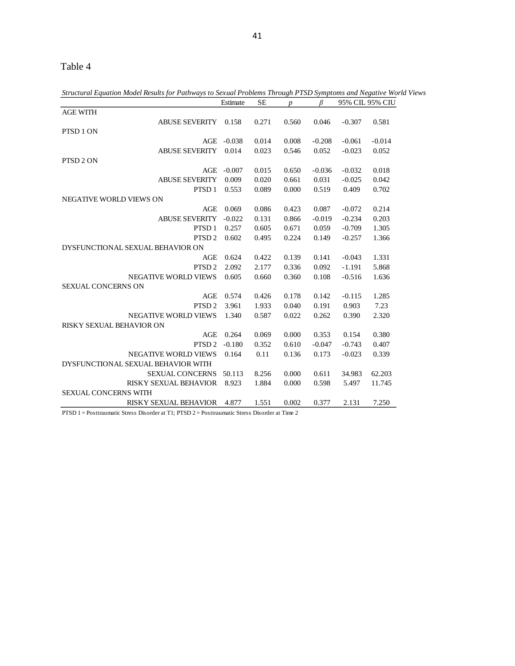## Table 4

*Structural Equation Model Results for Pathways to Sexual Problems Through PTSD Symptoms and Negative World Views*

|                                    | Estimate | SЕ    | $\boldsymbol{p}$ | ß        |          | 95% CIL 95% CIU |
|------------------------------------|----------|-------|------------------|----------|----------|-----------------|
| <b>AGE WITH</b>                    |          |       |                  |          |          |                 |
| <b>ABUSE SEVERITY</b>              | 0.158    | 0.271 | 0.560            | 0.046    | $-0.307$ | 0.581           |
| PTSD <sub>1</sub> ON               |          |       |                  |          |          |                 |
| AGE                                | $-0.038$ | 0.014 | 0.008            | $-0.208$ | $-0.061$ | $-0.014$        |
| <b>ABUSE SEVERITY</b>              | 0.014    | 0.023 | 0.546            | 0.052    | $-0.023$ | 0.052           |
| PTSD <sub>2</sub> ON               |          |       |                  |          |          |                 |
| AGE                                | $-0.007$ | 0.015 | 0.650            | $-0.036$ | $-0.032$ | 0.018           |
| <b>ABUSE SEVERITY</b>              | 0.009    | 0.020 | 0.661            | 0.031    | $-0.025$ | 0.042           |
| PTSD <sub>1</sub>                  | 0.553    | 0.089 | 0.000            | 0.519    | 0.409    | 0.702           |
| NEGATIVE WORLD VIEWS ON            |          |       |                  |          |          |                 |
| AGE                                | 0.069    | 0.086 | 0.423            | 0.087    | $-0.072$ | 0.214           |
| <b>ABUSE SEVERITY</b>              | $-0.022$ | 0.131 | 0.866            | $-0.019$ | $-0.234$ | 0.203           |
| PTSD <sub>1</sub>                  | 0.257    | 0.605 | 0.671            | 0.059    | $-0.709$ | 1.305           |
| PTSD <sub>2</sub>                  | 0.602    | 0.495 | 0.224            | 0.149    | $-0.257$ | 1.366           |
| DYSFUNCTIONAL SEXUAL BEHAVIOR ON   |          |       |                  |          |          |                 |
| AGE                                | 0.624    | 0.422 | 0.139            | 0.141    | $-0.043$ | 1.331           |
| PTSD <sub>2</sub>                  | 2.092    | 2.177 | 0.336            | 0.092    | $-1.191$ | 5.868           |
| <b>NEGATIVE WORLD VIEWS</b>        | 0.605    | 0.660 | 0.360            | 0.108    | $-0.516$ | 1.636           |
| <b>SEXUAL CONCERNS ON</b>          |          |       |                  |          |          |                 |
| AGE                                | 0.574    | 0.426 | 0.178            | 0.142    | $-0.115$ | 1.285           |
| PTSD <sub>2</sub>                  | 3.961    | 1.933 | 0.040            | 0.191    | 0.903    | 7.23            |
| <b>NEGATIVE WORLD VIEWS</b>        | 1.340    | 0.587 | 0.022            | 0.262    | 0.390    | 2.320           |
| <b>RISKY SEXUAL BEHAVIOR ON</b>    |          |       |                  |          |          |                 |
| <b>AGE</b>                         | 0.264    | 0.069 | 0.000            | 0.353    | 0.154    | 0.380           |
| PTSD <sub>2</sub>                  | $-0.180$ | 0.352 | 0.610            | $-0.047$ | $-0.743$ | 0.407           |
| <b>NEGATIVE WORLD VIEWS</b>        | 0.164    | 0.11  | 0.136            | 0.173    | $-0.023$ | 0.339           |
| DYSFUNCTIONAL SEXUAL BEHAVIOR WITH |          |       |                  |          |          |                 |
| <b>SEXUAL CONCERNS</b>             | 50.113   | 8.256 | 0.000            | 0.611    | 34.983   | 62.203          |
| <b>RISKY SEXUAL BEHAVIOR</b>       | 8.923    | 1.884 | 0.000            | 0.598    | 5.497    | 11.745          |
| <b>SEXUAL CONCERNS WITH</b>        |          |       |                  |          |          |                 |
| <b>RISKY SEXUAL BEHAVIOR</b>       | 4.877    | 1.551 | 0.002            | 0.377    | 2.131    | 7.250           |
|                                    |          |       |                  |          |          |                 |

PTSD 1 = Posttraumatic Stress Disorder at T1; PTSD 2 = Posttraumatic Stress Disorder at Time 2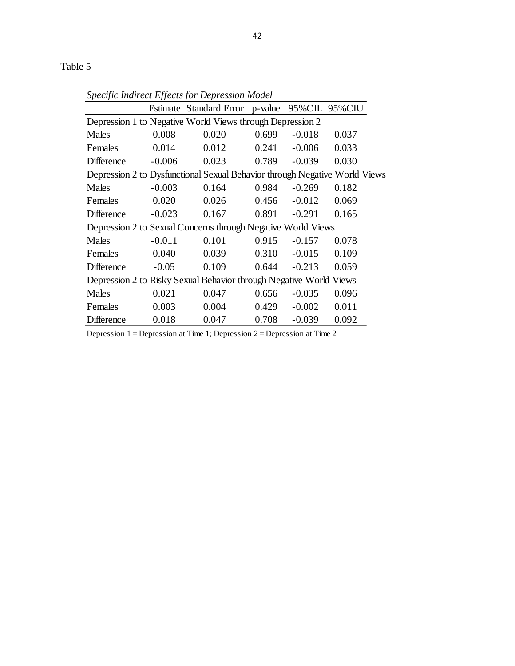|                                                                            |          | Estimate Standard Error p-value 95% CIL 95% CIU           |       |          |       |  |  |
|----------------------------------------------------------------------------|----------|-----------------------------------------------------------|-------|----------|-------|--|--|
|                                                                            |          | Depression 1 to Negative World Views through Depression 2 |       |          |       |  |  |
| Males                                                                      | 0.008    | 0.020                                                     | 0.699 | $-0.018$ | 0.037 |  |  |
| Females                                                                    | 0.014    | 0.012                                                     | 0.241 | $-0.006$ | 0.033 |  |  |
| Difference                                                                 | $-0.006$ | 0.023                                                     | 0.789 | $-0.039$ | 0.030 |  |  |
| Depression 2 to Dysfunctional Sexual Behavior through Negative World Views |          |                                                           |       |          |       |  |  |
| Males                                                                      | $-0.003$ | 0.164                                                     | 0.984 | $-0.269$ | 0.182 |  |  |
| Females                                                                    | 0.020    | 0.026                                                     | 0.456 | $-0.012$ | 0.069 |  |  |
| <b>Difference</b>                                                          | $-0.023$ | 0.167                                                     | 0.891 | $-0.291$ | 0.165 |  |  |
| Depression 2 to Sexual Concerns through Negative World Views               |          |                                                           |       |          |       |  |  |
| Males                                                                      | $-0.011$ | 0.101                                                     | 0.915 | $-0.157$ | 0.078 |  |  |
| Females                                                                    | 0.040    | 0.039                                                     | 0.310 | $-0.015$ | 0.109 |  |  |
| <b>Difference</b>                                                          | $-0.05$  | 0.109                                                     | 0.644 | $-0.213$ | 0.059 |  |  |
| Depression 2 to Risky Sexual Behavior through Negative World Views         |          |                                                           |       |          |       |  |  |
| Males                                                                      | 0.021    | 0.047                                                     | 0.656 | $-0.035$ | 0.096 |  |  |
| Females                                                                    | 0.003    | 0.004                                                     | 0.429 | $-0.002$ | 0.011 |  |  |
| <b>Difference</b>                                                          | 0.018    | 0.047                                                     | 0.708 | $-0.039$ | 0.092 |  |  |

*Specific Indirect Effects for Depression Model*

Depression 1 = Depression at Time 1; Depression 2 = Depression at Time 2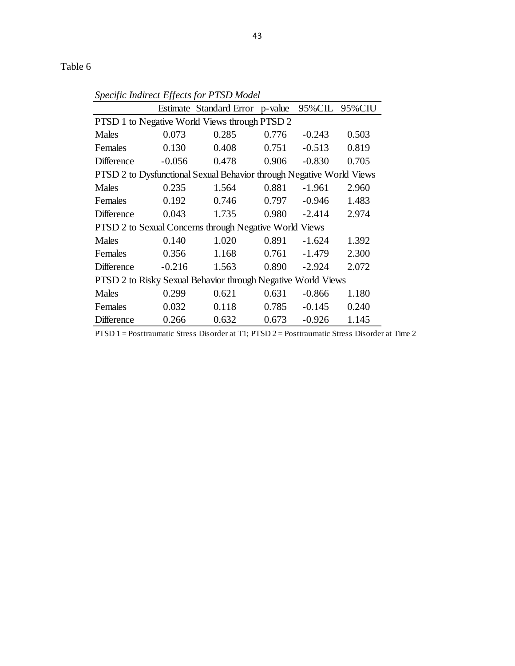|                                                                      | JJ       | Estimate Standard Error p-value 95% CIL                |       |          | 95%CIU |  |  |
|----------------------------------------------------------------------|----------|--------------------------------------------------------|-------|----------|--------|--|--|
| PTSD 1 to Negative World Views through PTSD 2                        |          |                                                        |       |          |        |  |  |
| Males                                                                | 0.073    | 0.285                                                  | 0.776 | $-0.243$ | 0.503  |  |  |
| Females                                                              | 0.130    | 0.408                                                  | 0.751 | $-0.513$ | 0.819  |  |  |
| Difference                                                           | $-0.056$ | 0.478                                                  | 0.906 | $-0.830$ | 0.705  |  |  |
| PTSD 2 to Dysfunctional Sexual Behavior through Negative World Views |          |                                                        |       |          |        |  |  |
| Males                                                                | 0.235    | 1.564                                                  | 0.881 | $-1.961$ | 2.960  |  |  |
| Females                                                              | 0.192    | 0.746                                                  | 0.797 | $-0.946$ | 1.483  |  |  |
| <b>Difference</b>                                                    | 0.043    | 1.735                                                  | 0.980 | $-2.414$ | 2.974  |  |  |
|                                                                      |          | PTSD 2 to Sexual Concerns through Negative World Views |       |          |        |  |  |
| Males                                                                | 0.140    | 1.020                                                  | 0.891 | $-1.624$ | 1.392  |  |  |
| Females                                                              | 0.356    | 1.168                                                  | 0.761 | $-1.479$ | 2.300  |  |  |
| <b>Difference</b>                                                    | $-0.216$ | 1.563                                                  | 0.890 | $-2.924$ | 2.072  |  |  |
| PTSD 2 to Risky Sexual Behavior through Negative World Views         |          |                                                        |       |          |        |  |  |
| Males                                                                | 0.299    | 0.621                                                  | 0.631 | $-0.866$ | 1.180  |  |  |
| Females                                                              | 0.032    | 0.118                                                  | 0.785 | $-0.145$ | 0.240  |  |  |
| Difference                                                           | 0.266    | 0.632                                                  | 0.673 | $-0.926$ | 1.145  |  |  |

*Specific Indirect Effects for PTSD Model*

PTSD 1 = Posttraumatic Stress Disorder at T1; PTSD 2 = Posttraumatic Stress Disorder at Time 2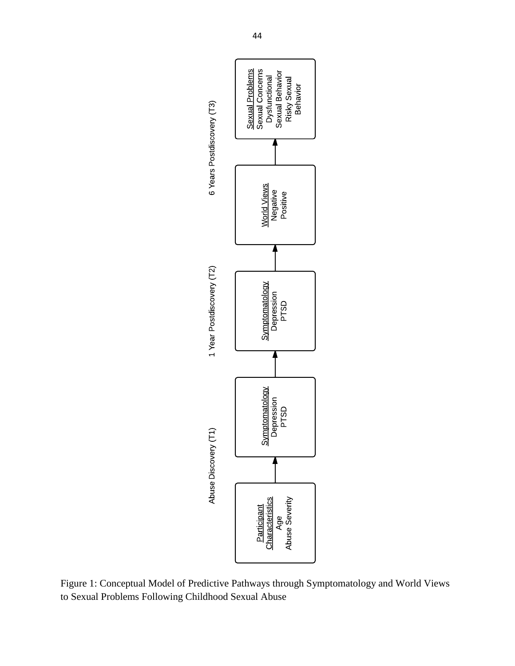

Figure 1: Conceptual Model of Predictive Pathways through Symptomatology and World Views to Sexual Problems Following Childhood Sexual Abuse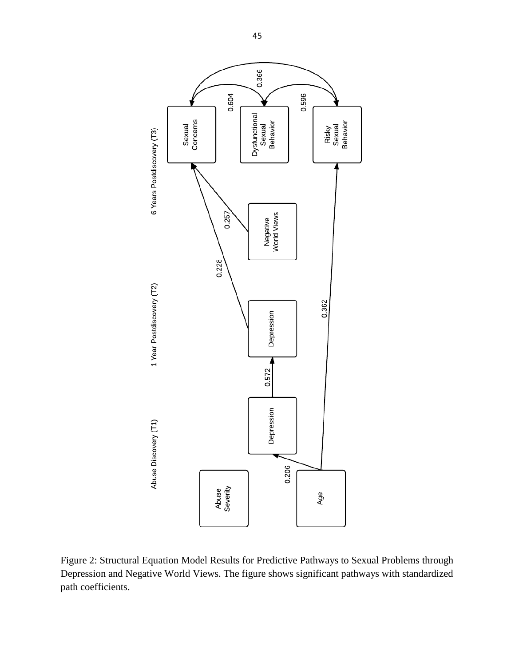

Figure 2: Structural Equation Model Results for Predictive Pathways to Sexual Problems through Depression and Negative World Views. The figure shows significant pathways with standardized path coefficients.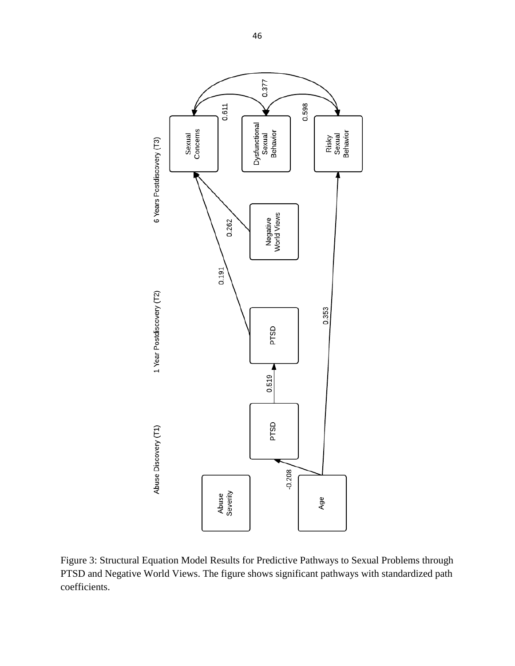

Figure 3: Structural Equation Model Results for Predictive Pathways to Sexual Problems through PTSD and Negative World Views. The figure shows significant pathways with standardized path coefficients.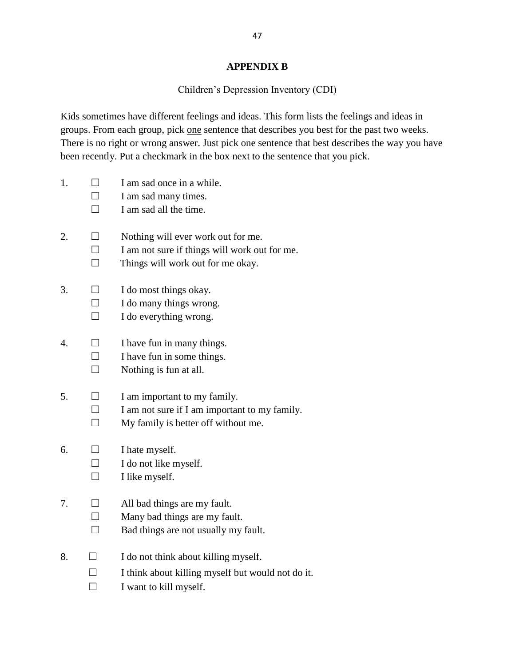#### **APPENDIX B**

#### Children's Depression Inventory (CDI)

Kids sometimes have different feelings and ideas. This form lists the feelings and ideas in groups. From each group, pick one sentence that describes you best for the past two weeks. There is no right or wrong answer. Just pick one sentence that best describes the way you have been recently. Put a checkmark in the box next to the sentence that you pick.

- 1.  $\Box$  I am sad once in a while.
	- $\Box$  I am sad many times.

 $\Box$  I am sad all the time.

- 2.  $\Box$  Nothing will ever work out for me.
	- $\Box$  I am not sure if things will work out for me.
	- $\Box$  Things will work out for me okay.
- 3.  $\Box$  I do most things okay.
	- $\Box$  I do many things wrong.
	- $\Box$  I do everything wrong.
- 4.  $\Box$  I have fun in many things.
	- $\Box$  I have fun in some things.
		- $\Box$  Nothing is fun at all.
- 5.  $\Box$  I am important to my family.
	- $\Box$  I am not sure if I am important to my family.
		- $\Box$  My family is better off without me.
- 6.  $\Box$  I hate myself.
	- $\Box$  I do not like myself.
	- $\Box$  I like myself.
- 7.  $\Box$  All bad things are my fault.
	- $\Box$  Many bad things are my fault.
		- $\Box$  Bad things are not usually my fault.
- 8.  $\Box$  I do not think about killing myself.
	- $\Box$  I think about killing myself but would not do it.
	- $\Box$  I want to kill myself.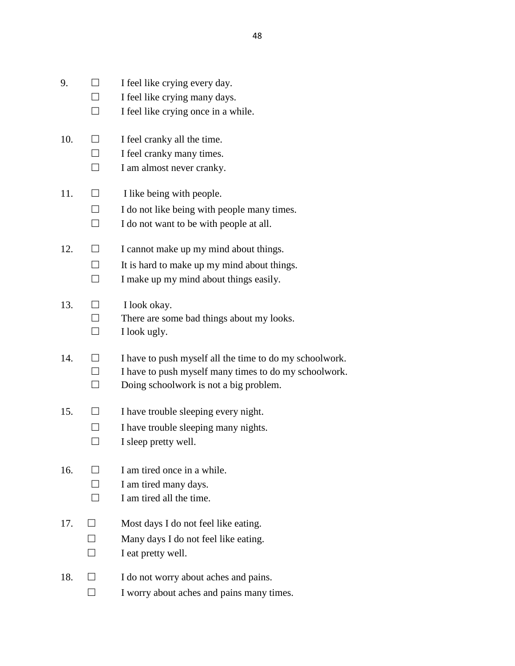- 9.  $\Box$  I feel like crying every day.
	- $\Box$  I feel like crying many days.
	- $\Box$  I feel like crying once in a while.
- 10.  $\Box$  I feel cranky all the time.
	- $\Box$  I feel cranky many times.
	- $\Box$  I am almost never cranky.
- 11.  $\Box$  I like being with people.
	- $\Box$  I do not like being with people many times.
	- $\Box$  I do not want to be with people at all.
- 12.  $\Box$  I cannot make up my mind about things.
	- $\Box$  It is hard to make up my mind about things.
	- $\Box$  I make up my mind about things easily.
- 13.  $\Box$  I look okay.
	- $\Box$  There are some bad things about my looks.
	- $\Box$  I look ugly.
- 14.  $\Box$  I have to push myself all the time to do my schoolwork.  $\Box$  I have to push myself many times to do my schoolwork.  $\Box$  Doing schoolwork is not a big problem.
- 15.  $\Box$  I have trouble sleeping every night.
	- $\Box$  I have trouble sleeping many nights.
	- $\Box$  I sleep pretty well.
- 16.  $\Box$  I am tired once in a while.
	- $\Box$  I am tired many days.
	- $\Box$  I am tired all the time.
- 17.  $\Box$  Most days I do not feel like eating.
	- $\Box$  Many days I do not feel like eating.
	- $\Box$  I eat pretty well.
- 18.  $\Box$  I do not worry about aches and pains.
	- $\Box$  I worry about aches and pains many times.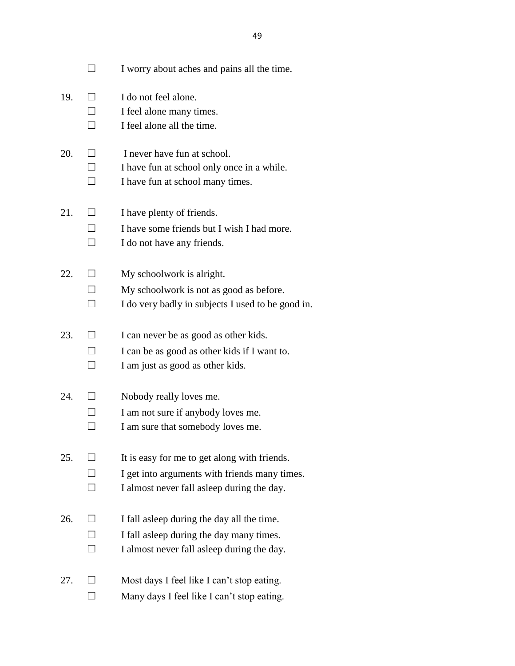|     |                              | I worry about aches and pains all the time.                                                                                                  |
|-----|------------------------------|----------------------------------------------------------------------------------------------------------------------------------------------|
| 19. | $\Box$                       | I do not feel alone.<br>I feel alone many times.<br>I feel alone all the time.                                                               |
| 20. | $\perp$<br>П<br>$\mathsf{L}$ | I never have fun at school.<br>I have fun at school only once in a while.<br>I have fun at school many times.                                |
| 21. |                              | I have plenty of friends.<br>I have some friends but I wish I had more.<br>I do not have any friends.                                        |
| 22. | $\mathsf{L}$                 | My schoolwork is alright.<br>My schoolwork is not as good as before.<br>I do very badly in subjects I used to be good in.                    |
| 23. | $\blacksquare$               | I can never be as good as other kids.<br>I can be as good as other kids if I want to.<br>I am just as good as other kids.                    |
| 24. |                              | Nobody really loves me.<br>I am not sure if anybody loves me.<br>I am sure that somebody loves me.                                           |
| 25. |                              | It is easy for me to get along with friends.<br>I get into arguments with friends many times.<br>I almost never fall as leep during the day. |
| 26. |                              | I fall as leep during the day all the time.<br>I fall as leep during the day many times.<br>I almost never fall as leep during the day.      |
| 27. |                              | Most days I feel like I can't stop eating.<br>Many days I feel like I can't stop eating.                                                     |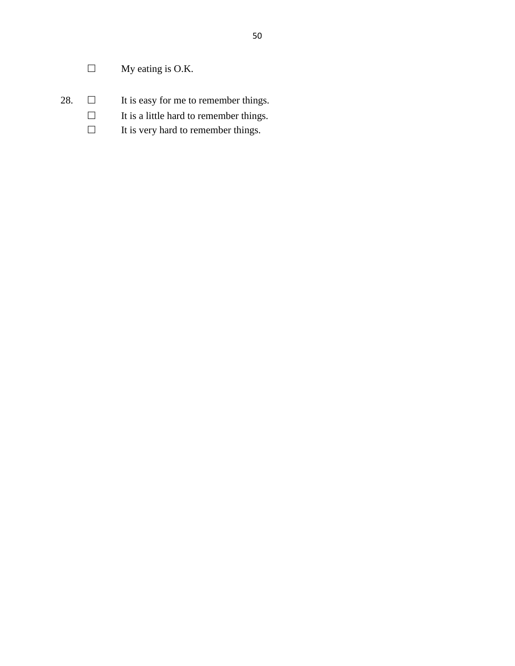- $\Box$  My eating is O.K.
- 28.  $\Box$  It is easy for me to remember things.
	- $\Box$  It is a little hard to remember things.
	- $\Box$  It is very hard to remember things.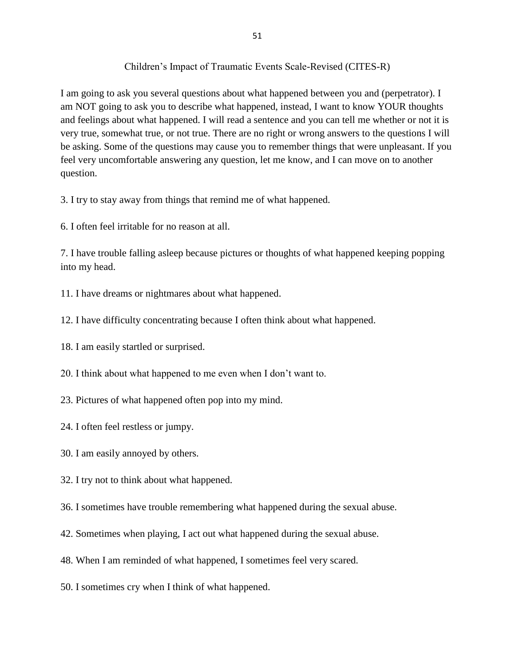#### Children's Impact of Traumatic Events Scale-Revised (CITES-R)

I am going to ask you several questions about what happened between you and (perpetrator). I am NOT going to ask you to describe what happened, instead, I want to know YOUR thoughts and feelings about what happened. I will read a sentence and you can tell me whether or not it is very true, somewhat true, or not true. There are no right or wrong answers to the questions I will be asking. Some of the questions may cause you to remember things that were unpleasant. If you feel very uncomfortable answering any question, let me know, and I can move on to another question.

3. I try to stay away from things that remind me of what happened.

6. I often feel irritable for no reason at all.

7. I have trouble falling asleep because pictures or thoughts of what happened keeping popping into my head.

11. I have dreams or nightmares about what happened.

12. I have difficulty concentrating because I often think about what happened.

- 18. I am easily startled or surprised.
- 20. I think about what happened to me even when I don't want to.
- 23. Pictures of what happened often pop into my mind.
- 24. I often feel restless or jumpy.
- 30. I am easily annoyed by others.
- 32. I try not to think about what happened.
- 36. I sometimes have trouble remembering what happened during the sexual abuse.
- 42. Sometimes when playing, I act out what happened during the sexual abuse.
- 48. When I am reminded of what happened, I sometimes feel very scared.
- 50. I sometimes cry when I think of what happened.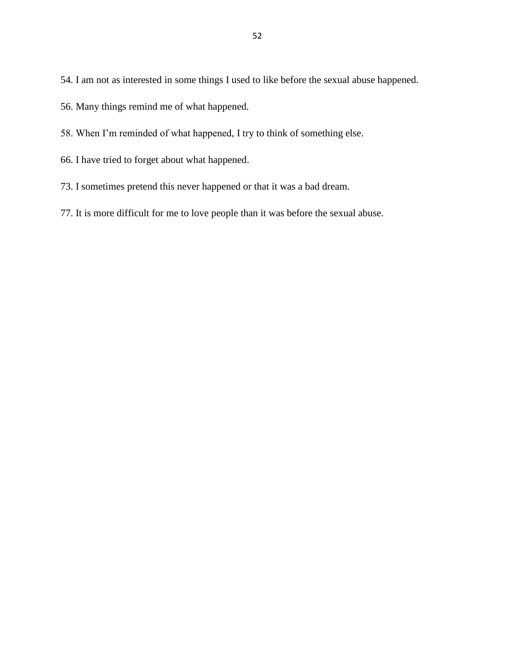54. I am not as interested in some things I used to like before the sexual abuse happened.

56. Many things remind me of what happened.

- 58. When I'm reminded of what happened, I try to think of something else.
- 66. I have tried to forget about what happened.
- 73. I sometimes pretend this never happened or that it was a bad dream.
- 77. It is more difficult for me to love people than it was before the sexual abuse.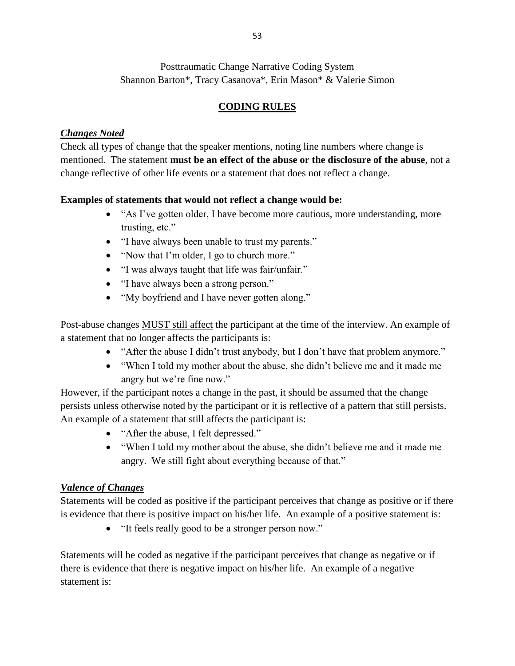Posttraumatic Change Narrative Coding System Shannon Barton\*, Tracy Casanova\*, Erin Mason\* & Valerie Simon

## **CODING RULES**

### *Changes Noted*

Check all types of change that the speaker mentions, noting line numbers where change is mentioned. The statement **must be an effect of the abuse or the disclosure of the abuse**, not a change reflective of other life events or a statement that does not reflect a change.

#### **Examples of statements that would not reflect a change would be:**

- "As I've gotten older, I have become more cautious, more understanding, more trusting, etc."
- "I have always been unable to trust my parents."
- "Now that I'm older, I go to church more."
- "I was always taught that life was fair/unfair."
- "I have always been a strong person."
- "My boyfriend and I have never gotten along."

Post-abuse changes MUST still affect the participant at the time of the interview. An example of a statement that no longer affects the participants is:

- "After the abuse I didn't trust anybody, but I don't have that problem anymore."
- "When I told my mother about the abuse, she didn't believe me and it made me angry but we're fine now."

However, if the participant notes a change in the past, it should be assumed that the change persists unless otherwise noted by the participant or it is reflective of a pattern that still persists. An example of a statement that still affects the participant is:

- "After the abuse, I felt depressed."
- "When I told my mother about the abuse, she didn't believe me and it made me angry. We still fight about everything because of that."

#### *Valence of Changes*

Statements will be coded as positive if the participant perceives that change as positive or if there is evidence that there is positive impact on his/her life. An example of a positive statement is:

• "It feels really good to be a stronger person now."

Statements will be coded as negative if the participant perceives that change as negative or if there is evidence that there is negative impact on his/her life. An example of a negative statement is: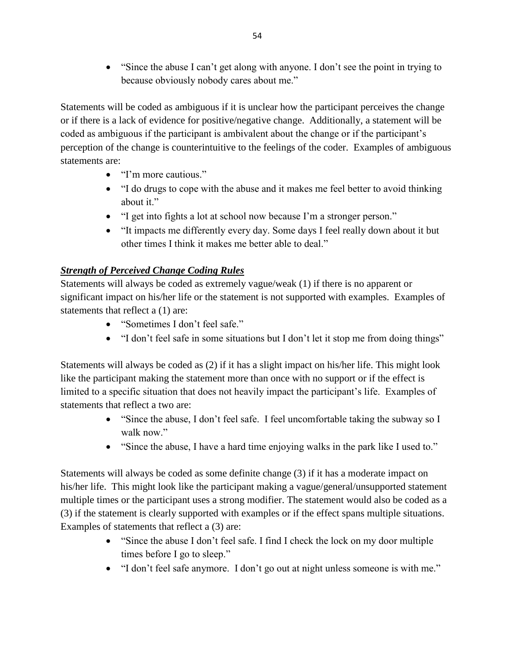"Since the abuse I can't get along with anyone. I don't see the point in trying to because obviously nobody cares about me."

Statements will be coded as ambiguous if it is unclear how the participant perceives the change or if there is a lack of evidence for positive/negative change. Additionally, a statement will be coded as ambiguous if the participant is ambivalent about the change or if the participant's perception of the change is counterintuitive to the feelings of the coder. Examples of ambiguous statements are:

- "I'm more cautious."
- "I do drugs to cope with the abuse and it makes me feel better to avoid thinking about it."
- "I get into fights a lot at school now because I'm a stronger person."
- "It impacts me differently every day. Some days I feel really down about it but other times I think it makes me better able to deal."

### *Strength of Perceived Change Coding Rules*

Statements will always be coded as extremely vague/weak (1) if there is no apparent or significant impact on his/her life or the statement is not supported with examples. Examples of statements that reflect a (1) are:

- "Sometimes I don't feel safe."
- "I don't feel safe in some situations but I don't let it stop me from doing things"

Statements will always be coded as (2) if it has a slight impact on his/her life. This might look like the participant making the statement more than once with no support or if the effect is limited to a specific situation that does not heavily impact the participant's life. Examples of statements that reflect a two are:

- "Since the abuse, I don't feel safe. I feel uncomfortable taking the subway so I walk now."
- "Since the abuse, I have a hard time enjoying walks in the park like I used to."

Statements will always be coded as some definite change (3) if it has a moderate impact on his/her life. This might look like the participant making a vague/general/unsupported statement multiple times or the participant uses a strong modifier. The statement would also be coded as a (3) if the statement is clearly supported with examples or if the effect spans multiple situations. Examples of statements that reflect a (3) are:

- "Since the abuse I don't feel safe. I find I check the lock on my door multiple times before I go to sleep."
- "I don't feel safe anymore. I don't go out at night unless someone is with me."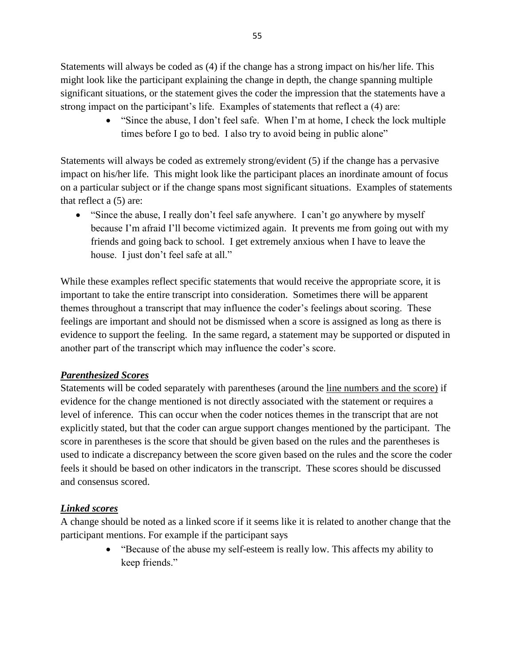Statements will always be coded as (4) if the change has a strong impact on his/her life. This might look like the participant explaining the change in depth, the change spanning multiple significant situations, or the statement gives the coder the impression that the statements have a strong impact on the participant's life. Examples of statements that reflect a (4) are:

> "Since the abuse, I don't feel safe. When I'm at home, I check the lock multiple times before I go to bed. I also try to avoid being in public alone"

Statements will always be coded as extremely strong/evident (5) if the change has a pervasive impact on his/her life. This might look like the participant places an inordinate amount of focus on a particular subject or if the change spans most significant situations. Examples of statements that reflect a (5) are:

 "Since the abuse, I really don't feel safe anywhere. I can't go anywhere by myself because I'm afraid I'll become victimized again. It prevents me from going out with my friends and going back to school. I get extremely anxious when I have to leave the house. I just don't feel safe at all."

While these examples reflect specific statements that would receive the appropriate score, it is important to take the entire transcript into consideration. Sometimes there will be apparent themes throughout a transcript that may influence the coder's feelings about scoring. These feelings are important and should not be dismissed when a score is assigned as long as there is evidence to support the feeling. In the same regard, a statement may be supported or disputed in another part of the transcript which may influence the coder's score.

### *Parenthesized Scores*

Statements will be coded separately with parentheses (around the line numbers and the score) if evidence for the change mentioned is not directly associated with the statement or requires a level of inference. This can occur when the coder notices themes in the transcript that are not explicitly stated, but that the coder can argue support changes mentioned by the participant. The score in parentheses is the score that should be given based on the rules and the parentheses is used to indicate a discrepancy between the score given based on the rules and the score the coder feels it should be based on other indicators in the transcript. These scores should be discussed and consensus scored.

### *Linked scores*

A change should be noted as a linked score if it seems like it is related to another change that the participant mentions. For example if the participant says

> "Because of the abuse my self-esteem is really low. This affects my ability to keep friends."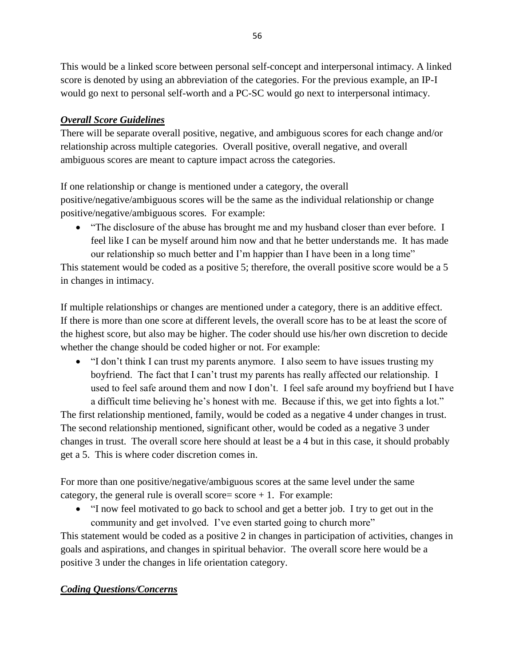This would be a linked score between personal self-concept and interpersonal intimacy. A linked score is denoted by using an abbreviation of the categories. For the previous example, an IP-I would go next to personal self-worth and a PC-SC would go next to interpersonal intimacy.

### *Overall Score Guidelines*

There will be separate overall positive, negative, and ambiguous scores for each change and/or relationship across multiple categories. Overall positive, overall negative, and overall ambiguous scores are meant to capture impact across the categories.

If one relationship or change is mentioned under a category, the overall positive/negative/ambiguous scores will be the same as the individual relationship or change positive/negative/ambiguous scores. For example:

• "The disclosure of the abuse has brought me and my husband closer than ever before. I feel like I can be myself around him now and that he better understands me. It has made our relationship so much better and I'm happier than I have been in a long time"

This statement would be coded as a positive 5; therefore, the overall positive score would be a 5 in changes in intimacy.

If multiple relationships or changes are mentioned under a category, there is an additive effect. If there is more than one score at different levels, the overall score has to be at least the score of the highest score, but also may be higher. The coder should use his/her own discretion to decide whether the change should be coded higher or not. For example:

 "I don't think I can trust my parents anymore. I also seem to have issues trusting my boyfriend. The fact that I can't trust my parents has really affected our relationship. I used to feel safe around them and now I don't. I feel safe around my boyfriend but I have a difficult time believing he's honest with me. Because if this, we get into fights a lot."

The first relationship mentioned, family, would be coded as a negative 4 under changes in trust. The second relationship mentioned, significant other, would be coded as a negative 3 under changes in trust. The overall score here should at least be a 4 but in this case, it should probably get a 5. This is where coder discretion comes in.

For more than one positive/negative/ambiguous scores at the same level under the same category, the general rule is overall score=  $score + 1$ . For example:

 "I now feel motivated to go back to school and get a better job. I try to get out in the community and get involved. I've even started going to church more"

This statement would be coded as a positive 2 in changes in participation of activities, changes in goals and aspirations, and changes in spiritual behavior. The overall score here would be a positive 3 under the changes in life orientation category.

# *Coding Questions/Concerns*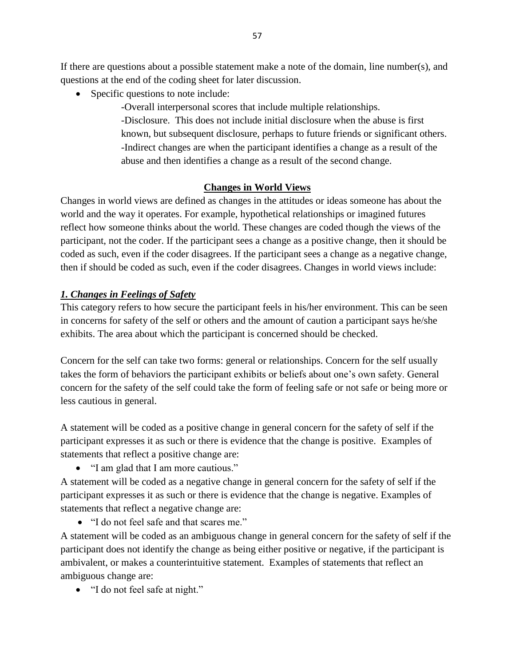If there are questions about a possible statement make a note of the domain, line number(s), and questions at the end of the coding sheet for later discussion.

• Specific questions to note include:

-Overall interpersonal scores that include multiple relationships. -Disclosure. This does not include initial disclosure when the abuse is first known, but subsequent disclosure, perhaps to future friends or significant others. -Indirect changes are when the participant identifies a change as a result of the abuse and then identifies a change as a result of the second change.

## **Changes in World Views**

Changes in world views are defined as changes in the attitudes or ideas someone has about the world and the way it operates. For example, hypothetical relationships or imagined futures reflect how someone thinks about the world. These changes are coded though the views of the participant, not the coder. If the participant sees a change as a positive change, then it should be coded as such, even if the coder disagrees. If the participant sees a change as a negative change, then if should be coded as such, even if the coder disagrees. Changes in world views include:

## *1. Changes in Feelings of Safety*

This category refers to how secure the participant feels in his/her environment. This can be seen in concerns for safety of the self or others and the amount of caution a participant says he/she exhibits. The area about which the participant is concerned should be checked.

Concern for the self can take two forms: general or relationships. Concern for the self usually takes the form of behaviors the participant exhibits or beliefs about one's own safety. General concern for the safety of the self could take the form of feeling safe or not safe or being more or less cautious in general.

A statement will be coded as a positive change in general concern for the safety of self if the participant expresses it as such or there is evidence that the change is positive. Examples of statements that reflect a positive change are:

• "I am glad that I am more cautious."

A statement will be coded as a negative change in general concern for the safety of self if the participant expresses it as such or there is evidence that the change is negative. Examples of statements that reflect a negative change are:

"I do not feel safe and that scares me."

A statement will be coded as an ambiguous change in general concern for the safety of self if the participant does not identify the change as being either positive or negative, if the participant is ambivalent, or makes a counterintuitive statement. Examples of statements that reflect an ambiguous change are:

"I do not feel safe at night."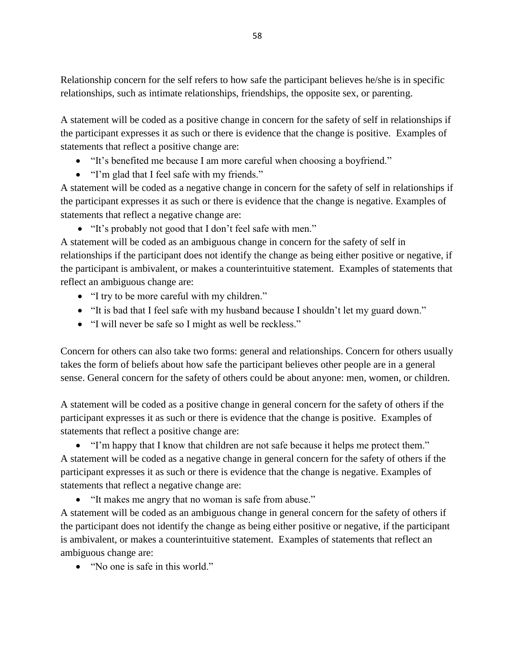Relationship concern for the self refers to how safe the participant believes he/she is in specific relationships, such as intimate relationships, friendships, the opposite sex, or parenting.

A statement will be coded as a positive change in concern for the safety of self in relationships if the participant expresses it as such or there is evidence that the change is positive. Examples of statements that reflect a positive change are:

- "It's benefited me because I am more careful when choosing a boyfriend."
- "I'm glad that I feel safe with my friends."

A statement will be coded as a negative change in concern for the safety of self in relationships if the participant expresses it as such or there is evidence that the change is negative. Examples of statements that reflect a negative change are:

"It's probably not good that I don't feel safe with men."

A statement will be coded as an ambiguous change in concern for the safety of self in relationships if the participant does not identify the change as being either positive or negative, if the participant is ambivalent, or makes a counterintuitive statement. Examples of statements that reflect an ambiguous change are:

- "I try to be more careful with my children."
- "It is bad that I feel safe with my husband because I shouldn't let my guard down."
- "I will never be safe so I might as well be reckless."

Concern for others can also take two forms: general and relationships. Concern for others usually takes the form of beliefs about how safe the participant believes other people are in a general sense. General concern for the safety of others could be about anyone: men, women, or children.

A statement will be coded as a positive change in general concern for the safety of others if the participant expresses it as such or there is evidence that the change is positive. Examples of statements that reflect a positive change are:

• "I'm happy that I know that children are not safe because it helps me protect them." A statement will be coded as a negative change in general concern for the safety of others if the participant expresses it as such or there is evidence that the change is negative. Examples of statements that reflect a negative change are:

"It makes me angry that no woman is safe from abuse."

A statement will be coded as an ambiguous change in general concern for the safety of others if the participant does not identify the change as being either positive or negative, if the participant is ambivalent, or makes a counterintuitive statement. Examples of statements that reflect an ambiguous change are:

• "No one is safe in this world."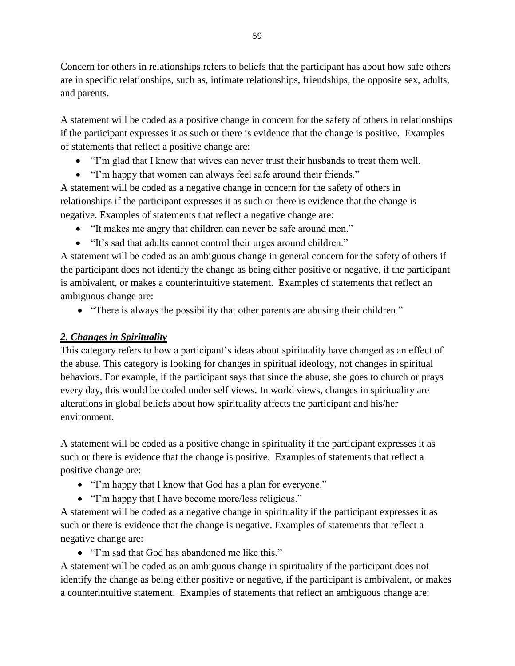Concern for others in relationships refers to beliefs that the participant has about how safe others are in specific relationships, such as, intimate relationships, friendships, the opposite sex, adults, and parents.

A statement will be coded as a positive change in concern for the safety of others in relationships if the participant expresses it as such or there is evidence that the change is positive. Examples of statements that reflect a positive change are:

- "I'm glad that I know that wives can never trust their husbands to treat them well.
- "I'm happy that women can always feel safe around their friends."

A statement will be coded as a negative change in concern for the safety of others in relationships if the participant expresses it as such or there is evidence that the change is negative. Examples of statements that reflect a negative change are:

- "It makes me angry that children can never be safe around men."
- "It's sad that adults cannot control their urges around children."

A statement will be coded as an ambiguous change in general concern for the safety of others if the participant does not identify the change as being either positive or negative, if the participant is ambivalent, or makes a counterintuitive statement. Examples of statements that reflect an ambiguous change are:

• "There is always the possibility that other parents are abusing their children."

### *2. Changes in Spirituality*

This category refers to how a participant's ideas about spirituality have changed as an effect of the abuse. This category is looking for changes in spiritual ideology, not changes in spiritual behaviors. For example, if the participant says that since the abuse, she goes to church or prays every day, this would be coded under self views. In world views, changes in spirituality are alterations in global beliefs about how spirituality affects the participant and his/her environment.

A statement will be coded as a positive change in spirituality if the participant expresses it as such or there is evidence that the change is positive. Examples of statements that reflect a positive change are:

- "I'm happy that I know that God has a plan for everyone."
- "I'm happy that I have become more/less religious."

A statement will be coded as a negative change in spirituality if the participant expresses it as such or there is evidence that the change is negative. Examples of statements that reflect a negative change are:

• "I'm sad that God has abandoned me like this."

A statement will be coded as an ambiguous change in spirituality if the participant does not identify the change as being either positive or negative, if the participant is ambivalent, or makes a counterintuitive statement. Examples of statements that reflect an ambiguous change are: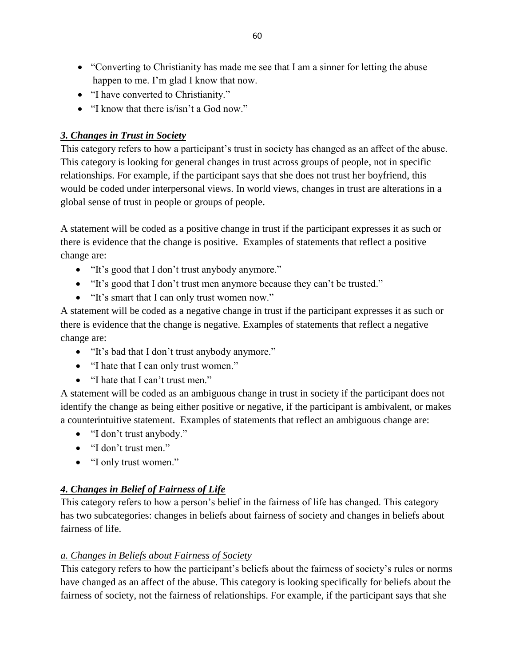- "Converting to Christianity has made me see that I am a sinner for letting the abuse happen to me. I'm glad I know that now.
- "I have converted to Christianity."
- "I know that there is/isn't a God now."

### *3. Changes in Trust in Society*

This category refers to how a participant's trust in society has changed as an affect of the abuse. This category is looking for general changes in trust across groups of people, not in specific relationships. For example, if the participant says that she does not trust her boyfriend, this would be coded under interpersonal views. In world views, changes in trust are alterations in a global sense of trust in people or groups of people.

A statement will be coded as a positive change in trust if the participant expresses it as such or there is evidence that the change is positive. Examples of statements that reflect a positive change are:

- "It's good that I don't trust anybody anymore."
- "It's good that I don't trust men anymore because they can't be trusted."
- "It's smart that I can only trust women now."

A statement will be coded as a negative change in trust if the participant expresses it as such or there is evidence that the change is negative. Examples of statements that reflect a negative change are:

- "It's bad that I don't trust anybody anymore."
- "I hate that I can only trust women."
- "I hate that I can't trust men."

A statement will be coded as an ambiguous change in trust in society if the participant does not identify the change as being either positive or negative, if the participant is ambivalent, or makes a counterintuitive statement. Examples of statements that reflect an ambiguous change are:

- "I don't trust anybody."
- "I don't trust men."
- "I only trust women."

# *4. Changes in Belief of Fairness of Life*

This category refers to how a person's belief in the fairness of life has changed. This category has two subcategories: changes in beliefs about fairness of society and changes in beliefs about fairness of life.

### *a. Changes in Beliefs about Fairness of Society*

This category refers to how the participant's beliefs about the fairness of society's rules or norms have changed as an affect of the abuse. This category is looking specifically for beliefs about the fairness of society, not the fairness of relationships. For example, if the participant says that she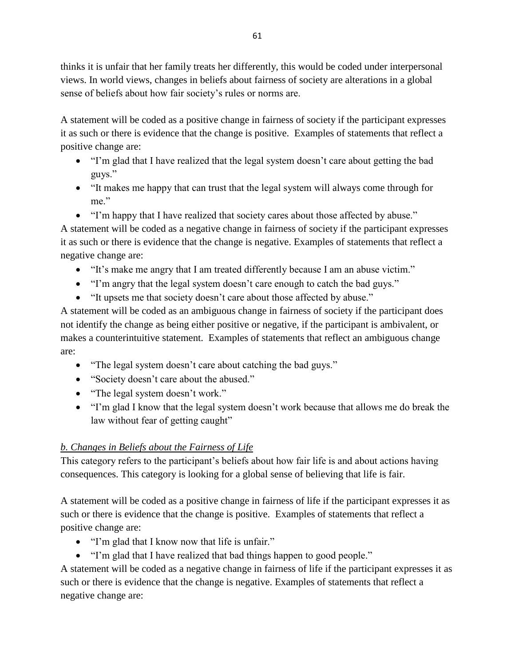thinks it is unfair that her family treats her differently, this would be coded under interpersonal views. In world views, changes in beliefs about fairness of society are alterations in a global sense of beliefs about how fair society's rules or norms are.

A statement will be coded as a positive change in fairness of society if the participant expresses it as such or there is evidence that the change is positive. Examples of statements that reflect a positive change are:

- "I'm glad that I have realized that the legal system doesn't care about getting the bad guys."
- "It makes me happy that can trust that the legal system will always come through for me."
- "I'm happy that I have realized that society cares about those affected by abuse."

A statement will be coded as a negative change in fairness of society if the participant expresses it as such or there is evidence that the change is negative. Examples of statements that reflect a negative change are:

- "It's make me angry that I am treated differently because I am an abuse victim."
- "I'm angry that the legal system doesn't care enough to catch the bad guys."
- "It upsets me that society doesn't care about those affected by abuse."

A statement will be coded as an ambiguous change in fairness of society if the participant does not identify the change as being either positive or negative, if the participant is ambivalent, or makes a counterintuitive statement. Examples of statements that reflect an ambiguous change are:

- "The legal system doesn't care about catching the bad guys."
- "Society doesn't care about the abused."
- "The legal system doesn't work."
- "I'm glad I know that the legal system doesn't work because that allows me do break the law without fear of getting caught"

# *b. Changes in Beliefs about the Fairness of Life*

This category refers to the participant's beliefs about how fair life is and about actions having consequences. This category is looking for a global sense of believing that life is fair.

A statement will be coded as a positive change in fairness of life if the participant expresses it as such or there is evidence that the change is positive. Examples of statements that reflect a positive change are:

- "I'm glad that I know now that life is unfair."
- "I'm glad that I have realized that bad things happen to good people."

A statement will be coded as a negative change in fairness of life if the participant expresses it as such or there is evidence that the change is negative. Examples of statements that reflect a negative change are: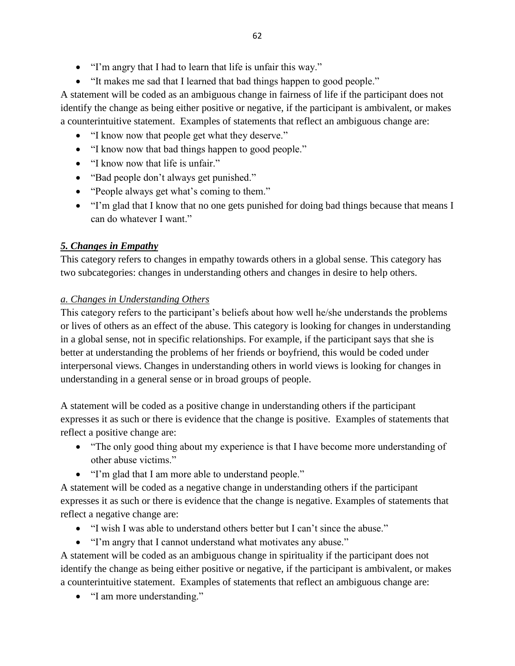- "I'm angry that I had to learn that life is unfair this way."
- "It makes me sad that I learned that bad things happen to good people."

A statement will be coded as an ambiguous change in fairness of life if the participant does not identify the change as being either positive or negative, if the participant is ambivalent, or makes a counterintuitive statement. Examples of statements that reflect an ambiguous change are:

- "I know now that people get what they deserve."
- "I know now that bad things happen to good people."
- "I know now that life is unfair."
- "Bad people don't always get punished."
- "People always get what's coming to them."
- "I'm glad that I know that no one gets punished for doing bad things because that means I can do whatever I want."

### *5. Changes in Empathy*

This category refers to changes in empathy towards others in a global sense. This category has two subcategories: changes in understanding others and changes in desire to help others.

### *a. Changes in Understanding Others*

This category refers to the participant's beliefs about how well he/she understands the problems or lives of others as an effect of the abuse. This category is looking for changes in understanding in a global sense, not in specific relationships. For example, if the participant says that she is better at understanding the problems of her friends or boyfriend, this would be coded under interpersonal views. Changes in understanding others in world views is looking for changes in understanding in a general sense or in broad groups of people.

A statement will be coded as a positive change in understanding others if the participant expresses it as such or there is evidence that the change is positive. Examples of statements that reflect a positive change are:

- "The only good thing about my experience is that I have become more understanding of other abuse victims."
- "I'm glad that I am more able to understand people."

A statement will be coded as a negative change in understanding others if the participant expresses it as such or there is evidence that the change is negative. Examples of statements that reflect a negative change are:

- "I wish I was able to understand others better but I can't since the abuse."
- "I'm angry that I cannot understand what motivates any abuse."

A statement will be coded as an ambiguous change in spirituality if the participant does not identify the change as being either positive or negative, if the participant is ambivalent, or makes a counterintuitive statement. Examples of statements that reflect an ambiguous change are:

• "I am more understanding."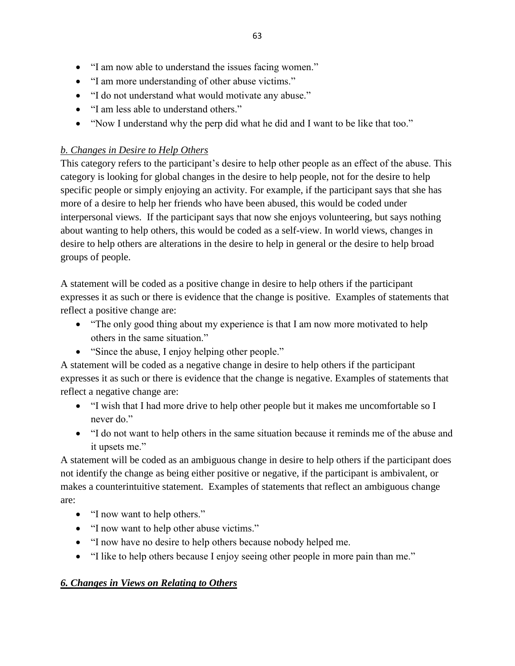- "I am now able to understand the issues facing women."
- "I am more understanding of other abuse victims."
- "I do not understand what would motivate any abuse."
- "I am less able to understand others."
- "Now I understand why the perp did what he did and I want to be like that too."

### *b. Changes in Desire to Help Others*

This category refers to the participant's desire to help other people as an effect of the abuse. This category is looking for global changes in the desire to help people, not for the desire to help specific people or simply enjoying an activity. For example, if the participant says that she has more of a desire to help her friends who have been abused, this would be coded under interpersonal views. If the participant says that now she enjoys volunteering, but says nothing about wanting to help others, this would be coded as a self-view. In world views, changes in desire to help others are alterations in the desire to help in general or the desire to help broad groups of people.

A statement will be coded as a positive change in desire to help others if the participant expresses it as such or there is evidence that the change is positive. Examples of statements that reflect a positive change are:

- "The only good thing about my experience is that I am now more motivated to help others in the same situation."
- "Since the abuse, I enjoy helping other people."

A statement will be coded as a negative change in desire to help others if the participant expresses it as such or there is evidence that the change is negative. Examples of statements that reflect a negative change are:

- "I wish that I had more drive to help other people but it makes me uncomfortable so I never do."
- "I do not want to help others in the same situation because it reminds me of the abuse and it upsets me."

A statement will be coded as an ambiguous change in desire to help others if the participant does not identify the change as being either positive or negative, if the participant is ambivalent, or makes a counterintuitive statement. Examples of statements that reflect an ambiguous change are:

- "I now want to help others."
- "I now want to help other abuse victims."
- "I now have no desire to help others because nobody helped me.
- "I like to help others because I enjoy seeing other people in more pain than me."

### *6. Changes in Views on Relating to Others*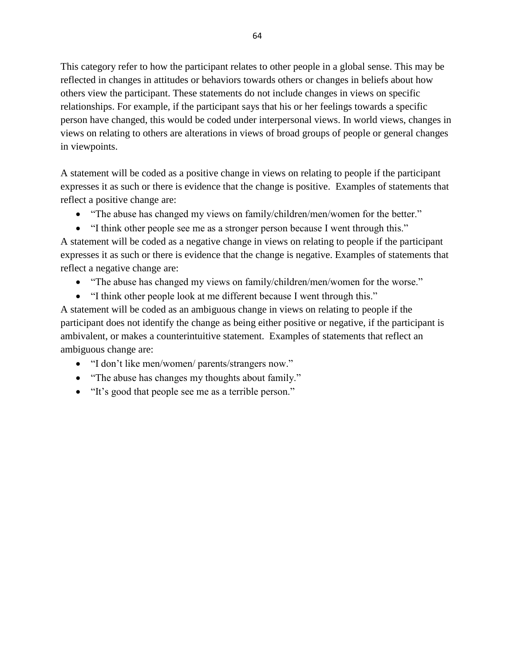This category refer to how the participant relates to other people in a global sense. This may be reflected in changes in attitudes or behaviors towards others or changes in beliefs about how others view the participant. These statements do not include changes in views on specific relationships. For example, if the participant says that his or her feelings towards a specific person have changed, this would be coded under interpersonal views. In world views, changes in views on relating to others are alterations in views of broad groups of people or general changes in viewpoints.

A statement will be coded as a positive change in views on relating to people if the participant expresses it as such or there is evidence that the change is positive. Examples of statements that reflect a positive change are:

- "The abuse has changed my views on family/children/men/women for the better."
- "I think other people see me as a stronger person because I went through this."

A statement will be coded as a negative change in views on relating to people if the participant expresses it as such or there is evidence that the change is negative. Examples of statements that reflect a negative change are:

- "The abuse has changed my views on family/children/men/women for the worse."
- "I think other people look at me different because I went through this."

A statement will be coded as an ambiguous change in views on relating to people if the participant does not identify the change as being either positive or negative, if the participant is ambivalent, or makes a counterintuitive statement. Examples of statements that reflect an ambiguous change are:

- "I don't like men/women/ parents/strangers now."
- "The abuse has changes my thoughts about family."
- "It's good that people see me as a terrible person."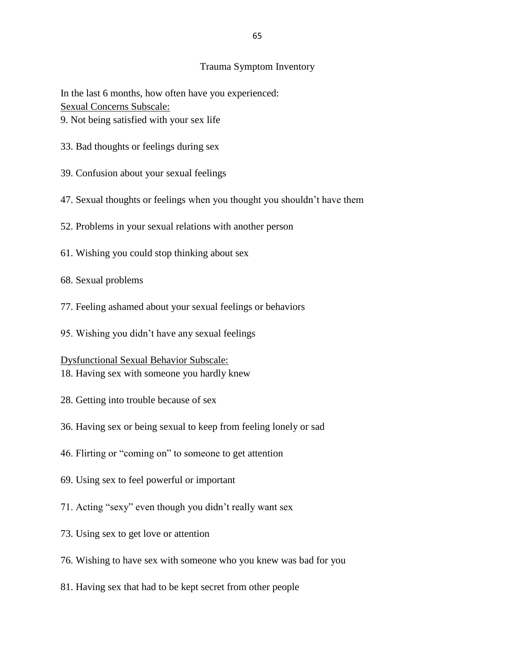#### Trauma Symptom Inventory

In the last 6 months, how often have you experienced: Sexual Concerns Subscale: 9. Not being satisfied with your sex life

- 33. Bad thoughts or feelings during sex
- 39. Confusion about your sexual feelings
- 47. Sexual thoughts or feelings when you thought you shouldn't have them
- 52. Problems in your sexual relations with another person
- 61. Wishing you could stop thinking about sex
- 68. Sexual problems
- 77. Feeling ashamed about your sexual feelings or behaviors
- 95. Wishing you didn't have any sexual feelings

#### Dysfunctional Sexual Behavior Subscale:

- 18. Having sex with someone you hardly knew
- 28. Getting into trouble because of sex
- 36. Having sex or being sexual to keep from feeling lonely or sad
- 46. Flirting or "coming on" to someone to get attention
- 69. Using sex to feel powerful or important
- 71. Acting "sexy" even though you didn't really want sex
- 73. Using sex to get love or attention
- 76. Wishing to have sex with someone who you knew was bad for you
- 81. Having sex that had to be kept secret from other people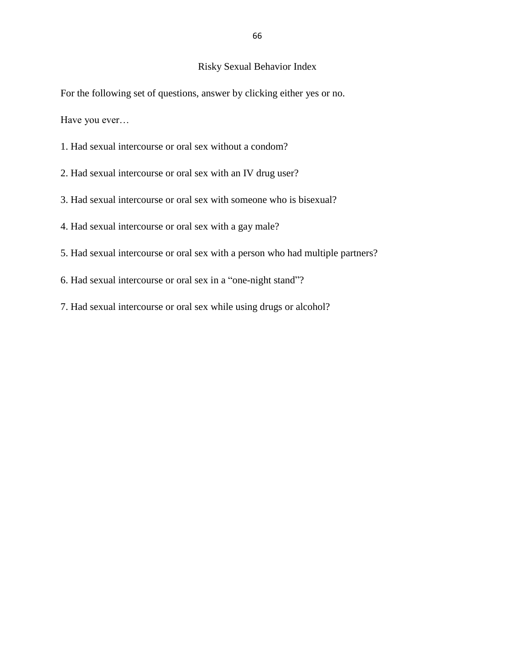# Risky Sexual Behavior Index

For the following set of questions, answer by clicking either yes or no.

Have you ever…

- 1. Had sexual intercourse or oral sex without a condom?
- 2. Had sexual intercourse or oral sex with an IV drug user?
- 3. Had sexual intercourse or oral sex with someone who is bisexual?
- 4. Had sexual intercourse or oral sex with a gay male?
- 5. Had sexual intercourse or oral sex with a person who had multiple partners?
- 6. Had sexual intercourse or oral sex in a "one-night stand"?
- 7. Had sexual intercourse or oral sex while using drugs or alcohol?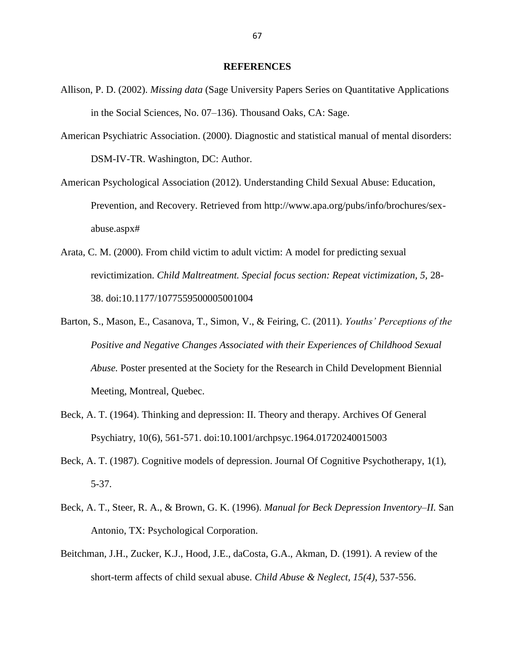#### **REFERENCES**

- Allison, P. D. (2002). *Missing data* (Sage University Papers Series on Quantitative Applications in the Social Sciences, No. 07–136). Thousand Oaks, CA: Sage.
- American Psychiatric Association. (2000). Diagnostic and statistical manual of mental disorders: DSM-IV-TR. Washington, DC: Author.
- American Psychological Association (2012). Understanding Child Sexual Abuse: Education, Prevention, and Recovery. Retrieved from http://www.apa.org/pubs/info/brochures/sexabuse.aspx#
- Arata, C. M. (2000). From child victim to adult victim: A model for predicting sexual revictimization. *Child Maltreatment. Special focus section: Repeat victimization, 5,* 28- 38. doi:10.1177/1077559500005001004
- Barton, S., Mason, E., Casanova, T., Simon, V., & Feiring, C. (2011). *Youths' Perceptions of the Positive and Negative Changes Associated with their Experiences of Childhood Sexual Abuse.* Poster presented at the Society for the Research in Child Development Biennial Meeting, Montreal, Quebec.
- Beck, A. T. (1964). Thinking and depression: II. Theory and therapy. Archives Of General Psychiatry, 10(6), 561-571. doi:10.1001/archpsyc.1964.01720240015003
- Beck, A. T. (1987). Cognitive models of depression. Journal Of Cognitive Psychotherapy, 1(1), 5-37.
- Beck, A. T., Steer, R. A., & Brown, G. K. (1996). *Manual for Beck Depression Inventory–II.* San Antonio, TX: Psychological Corporation.
- Beitchman, J.H., Zucker, K.J., Hood, J.E., daCosta, G.A., Akman, D. (1991). A review of the short-term affects of child sexual abuse. *Child Abuse & Neglect, 15(4)*, 537-556.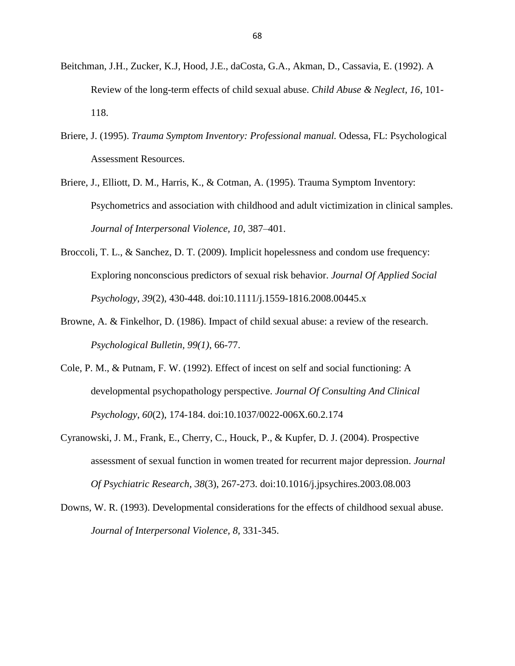- Beitchman, J.H., Zucker, K.J, Hood, J.E., daCosta, G.A., Akman, D., Cassavia, E. (1992). A Review of the long-term effects of child sexual abuse. *Child Abuse & Neglect, 16*, 101- 118.
- Briere, J. (1995). *Trauma Symptom Inventory: Professional manual.* Odessa, FL: Psychological Assessment Resources.
- Briere, J., Elliott, D. M., Harris, K., & Cotman, A. (1995). Trauma Symptom Inventory: Psychometrics and association with childhood and adult victimization in clinical samples. *Journal of Interpersonal Violence, 10,* 387–401.
- Broccoli, T. L., & Sanchez, D. T. (2009). Implicit hopelessness and condom use frequency: Exploring nonconscious predictors of sexual risk behavior. *Journal Of Applied Social Psychology*, *39*(2), 430-448. doi:10.1111/j.1559-1816.2008.00445.x
- Browne, A. & Finkelhor, D. (1986). Impact of child sexual abuse: a review of the research. *Psychological Bulletin, 99(1)*, 66-77.
- Cole, P. M., & Putnam, F. W. (1992). Effect of incest on self and social functioning: A developmental psychopathology perspective. *Journal Of Consulting And Clinical Psychology*, *60*(2), 174-184. doi:10.1037/0022-006X.60.2.174
- Cyranowski, J. M., Frank, E., Cherry, C., Houck, P., & Kupfer, D. J. (2004). Prospective assessment of sexual function in women treated for recurrent major depression. *Journal Of Psychiatric Research*, *38*(3), 267-273. doi:10.1016/j.jpsychires.2003.08.003
- Downs, W. R. (1993). Developmental considerations for the effects of childhood sexual abuse. *Journal of Interpersonal Violence, 8,* 331-345.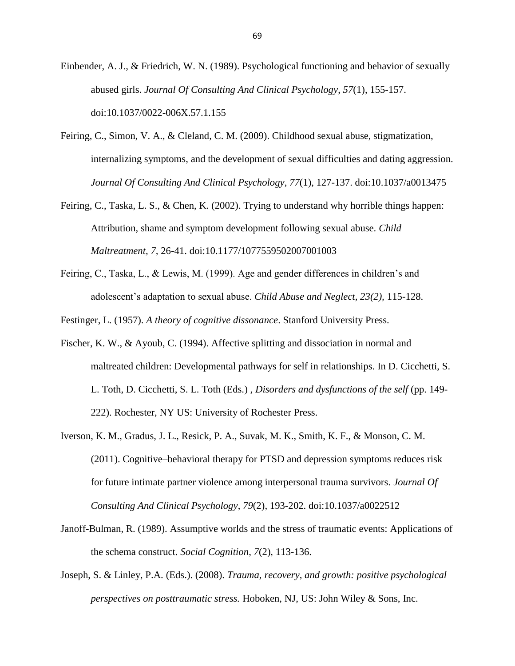Einbender, A. J., & Friedrich, W. N. (1989). Psychological functioning and behavior of sexually abused girls. *Journal Of Consulting And Clinical Psychology*, *57*(1), 155-157. doi:10.1037/0022-006X.57.1.155

- Feiring, C., Simon, V. A., & Cleland, C. M. (2009). Childhood sexual abuse, stigmatization, internalizing symptoms, and the development of sexual difficulties and dating aggression. *Journal Of Consulting And Clinical Psychology*, *77*(1), 127-137. doi:10.1037/a0013475
- Feiring, C., Taska, L. S., & Chen, K. (2002). Trying to understand why horrible things happen: Attribution, shame and symptom development following sexual abuse. *Child Maltreatment, 7,* 26-41. doi:10.1177/1077559502007001003
- Feiring, C., Taska, L., & Lewis, M. (1999). Age and gender differences in children's and adolescent's adaptation to sexual abuse. *Child Abuse and Neglect, 23(2),* 115-128.

Festinger, L. (1957). *A theory of cognitive dissonance*. Stanford University Press.

- Fischer, K. W., & Ayoub, C. (1994). Affective splitting and dissociation in normal and maltreated children: Developmental pathways for self in relationships. In D. Cicchetti, S. L. Toth, D. Cicchetti, S. L. Toth (Eds.) , *Disorders and dysfunctions of the self* (pp. 149- 222). Rochester, NY US: University of Rochester Press.
- Iverson, K. M., Gradus, J. L., Resick, P. A., Suvak, M. K., Smith, K. F., & Monson, C. M. (2011). Cognitive–behavioral therapy for PTSD and depression symptoms reduces risk for future intimate partner violence among interpersonal trauma survivors. *Journal Of Consulting And Clinical Psychology*, *79*(2), 193-202. doi:10.1037/a0022512
- Janoff-Bulman, R. (1989). Assumptive worlds and the stress of traumatic events: Applications of the schema construct. *Social Cognition*, *7*(2), 113-136.
- Joseph, S. & Linley, P.A. (Eds.). (2008). *Trauma, recovery, and growth: positive psychological perspectives on posttraumatic stress.* Hoboken, NJ, US: John Wiley & Sons, Inc.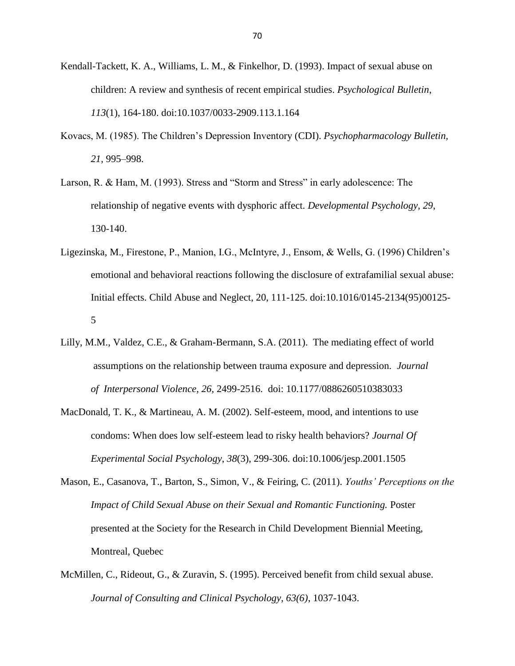- Kendall-Tackett, K. A., Williams, L. M., & Finkelhor, D. (1993). Impact of sexual abuse on children: A review and synthesis of recent empirical studies. *Psychological Bulletin*, *113*(1), 164-180. doi:10.1037/0033-2909.113.1.164
- Kovacs, M. (1985). The Children's Depression Inventory (CDI). *Psychopharmacology Bulletin, 21,* 995–998.
- Larson, R. & Ham, M. (1993). Stress and "Storm and Stress" in early adolescence: The relationship of negative events with dysphoric affect. *Developmental Psychology, 29*, 130-140.
- Ligezinska, M., Firestone, P., Manion, I.G., McIntyre, J., Ensom, & Wells, G. (1996) Children's emotional and behavioral reactions following the disclosure of extrafamilial sexual abuse: Initial effects. Child Abuse and Neglect, 20, 111-125. doi[:10.1016/0145-2134\(95\)00125-](http://dx.doi.org/10.1016/0145-2134%2895%2900125-5) [5](http://dx.doi.org/10.1016/0145-2134%2895%2900125-5)
- Lilly, M.M., Valdez, C.E., & Graham-Bermann, S.A. (2011). The mediating effect of world assumptions on the relationship between trauma exposure and depression. *Journal of Interpersonal Violence, 26,* 2499-2516. doi: 10.1177/0886260510383033
- MacDonald, T. K., & Martineau, A. M. (2002). Self-esteem, mood, and intentions to use condoms: When does low self-esteem lead to risky health behaviors? *Journal Of Experimental Social Psychology*, *38*(3), 299-306. doi:10.1006/jesp.2001.1505
- Mason, E., Casanova, T., Barton, S., Simon, V., & Feiring, C. (2011). *Youths' Perceptions on the Impact of Child Sexual Abuse on their Sexual and Romantic Functioning.* Poster presented at the Society for the Research in Child Development Biennial Meeting, Montreal, Quebec
- McMillen, C., Rideout, G., & Zuravin, S. (1995). Perceived benefit from child sexual abuse. *Journal of Consulting and Clinical Psychology, 63(6)*, 1037-1043.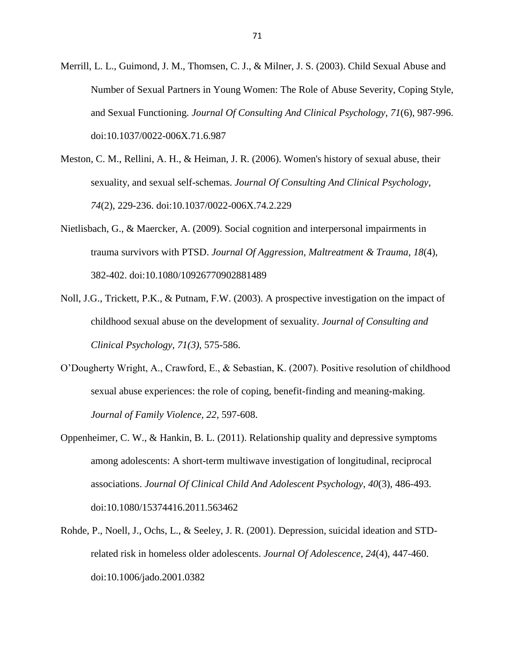- Merrill, L. L., Guimond, J. M., Thomsen, C. J., & Milner, J. S. (2003). Child Sexual Abuse and Number of Sexual Partners in Young Women: The Role of Abuse Severity, Coping Style, and Sexual Functioning. *Journal Of Consulting And Clinical Psychology*, *71*(6), 987-996. doi:10.1037/0022-006X.71.6.987
- Meston, C. M., Rellini, A. H., & Heiman, J. R. (2006). Women's history of sexual abuse, their sexuality, and sexual self-schemas. *Journal Of Consulting And Clinical Psychology*, *74*(2), 229-236. doi:10.1037/0022-006X.74.2.229
- Nietlisbach, G., & Maercker, A. (2009). Social cognition and interpersonal impairments in trauma survivors with PTSD. *Journal Of Aggression, Maltreatment & Trauma*, *18*(4), 382-402. doi:10.1080/10926770902881489
- Noll, J.G., Trickett, P.K., & Putnam, F.W. (2003). A prospective investigation on the impact of childhood sexual abuse on the development of sexuality. *Journal of Consulting and Clinical Psychology, 71(3)*, 575-586.
- O'Dougherty Wright, A., Crawford, E., & Sebastian, K. (2007). Positive resolution of childhood sexual abuse experiences: the role of coping, benefit-finding and meaning-making. *Journal of Family Violence, 22*, 597-608.
- Oppenheimer, C. W., & Hankin, B. L. (2011). Relationship quality and depressive symptoms among adolescents: A short-term multiwave investigation of longitudinal, reciprocal associations. *Journal Of Clinical Child And Adolescent Psychology*, *40*(3), 486-493. doi:10.1080/15374416.2011.563462
- Rohde, P., Noell, J., Ochs, L., & Seeley, J. R. (2001). Depression, suicidal ideation and STDrelated risk in homeless older adolescents. *Journal Of Adolescence*, *24*(4), 447-460. doi:10.1006/jado.2001.0382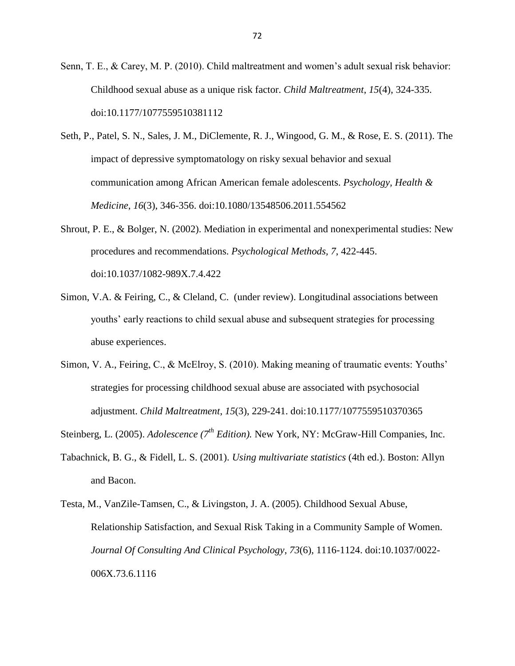Senn, T. E., & Carey, M. P. (2010). Child maltreatment and women's adult sexual risk behavior: Childhood sexual abuse as a unique risk factor. *Child Maltreatment*, *15*(4), 324-335. doi:10.1177/1077559510381112

- Seth, P., Patel, S. N., Sales, J. M., DiClemente, R. J., Wingood, G. M., & Rose, E. S. (2011). The impact of depressive symptomatology on risky sexual behavior and sexual communication among African American female adolescents. *Psychology, Health & Medicine*, *16*(3), 346-356. doi:10.1080/13548506.2011.554562
- Shrout, P. E., & Bolger, N. (2002). Mediation in experimental and nonexperimental studies: New procedures and recommendations. *Psychological Methods, 7*, 422-445. doi:10.1037/1082-989X.7.4.422
- Simon, V.A. & Feiring, C., & Cleland, C. (under review). Longitudinal associations between youths' early reactions to child sexual abuse and subsequent strategies for processing abuse experiences.
- Simon, V. A., Feiring, C., & McElroy, S. (2010). Making meaning of traumatic events: Youths' strategies for processing childhood sexual abuse are associated with psychosocial adjustment. *Child Maltreatment*, *15*(3), 229-241. doi:10.1177/1077559510370365

Steinberg, L. (2005). *Adolescence (7th Edition).* New York, NY: McGraw-Hill Companies, Inc.

Tabachnick, B. G., & Fidell, L. S. (2001). *Using multivariate statistics* (4th ed.). Boston: Allyn and Bacon.

Testa, M., VanZile-Tamsen, C., & Livingston, J. A. (2005). Childhood Sexual Abuse, Relationship Satisfaction, and Sexual Risk Taking in a Community Sample of Women. *Journal Of Consulting And Clinical Psychology*, *73*(6), 1116-1124. doi:10.1037/0022- 006X.73.6.1116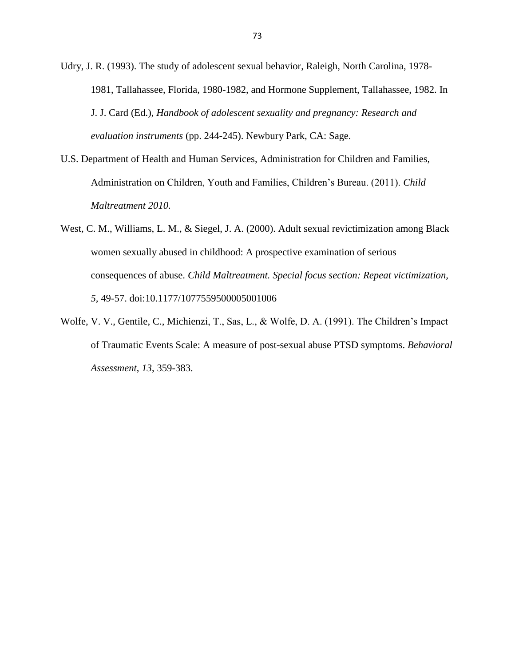Udry, J. R. (1993). The study of adolescent sexual behavior, Raleigh, North Carolina, 1978- 1981, Tallahassee, Florida, 1980-1982, and Hormone Supplement, Tallahassee, 1982. In J. J. Card (Ed.), *Handbook of adolescent sexuality and pregnancy: Research and evaluation instruments* (pp. 244-245). Newbury Park, CA: Sage.

- U.S. Department of Health and Human Services, Administration for Children and Families, Administration on Children, Youth and Families, Children's Bureau. (2011). *Child Maltreatment 2010.*
- West, C. M., Williams, L. M., & Siegel, J. A. (2000). Adult sexual revictimization among Black women sexually abused in childhood: A prospective examination of serious consequences of abuse. *Child Maltreatment. Special focus section: Repeat victimization, 5,* 49-57. doi:10.1177/1077559500005001006
- Wolfe, V. V., Gentile, C., Michienzi, T., Sas, L., & Wolfe, D. A. (1991). The Children's Impact of Traumatic Events Scale: A measure of post-sexual abuse PTSD symptoms. *Behavioral Assessment*, *13*, 359-383.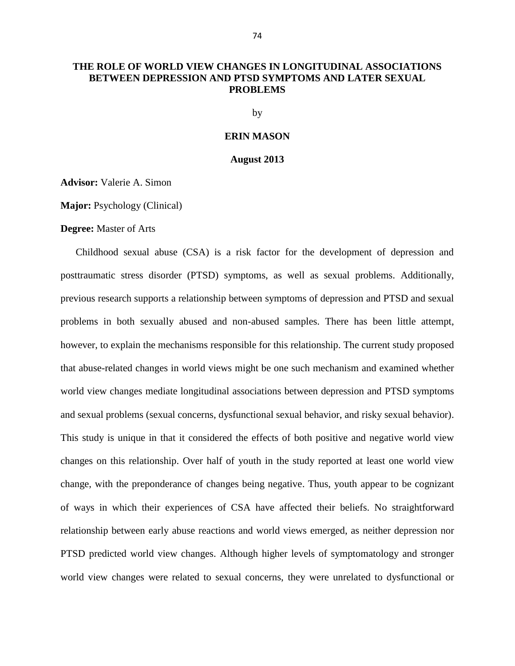## **THE ROLE OF WORLD VIEW CHANGES IN LONGITUDINAL ASSOCIATIONS BETWEEN DEPRESSION AND PTSD SYMPTOMS AND LATER SEXUAL PROBLEMS**

by

### **ERIN MASON**

#### **August 2013**

**Advisor:** Valerie A. Simon

**Major:** Psychology (Clinical)

### **Degree:** Master of Arts

Childhood sexual abuse (CSA) is a risk factor for the development of depression and posttraumatic stress disorder (PTSD) symptoms, as well as sexual problems. Additionally, previous research supports a relationship between symptoms of depression and PTSD and sexual problems in both sexually abused and non-abused samples. There has been little attempt, however, to explain the mechanisms responsible for this relationship. The current study proposed that abuse-related changes in world views might be one such mechanism and examined whether world view changes mediate longitudinal associations between depression and PTSD symptoms and sexual problems (sexual concerns, dysfunctional sexual behavior, and risky sexual behavior). This study is unique in that it considered the effects of both positive and negative world view changes on this relationship. Over half of youth in the study reported at least one world view change, with the preponderance of changes being negative. Thus, youth appear to be cognizant of ways in which their experiences of CSA have affected their beliefs. No straightforward relationship between early abuse reactions and world views emerged, as neither depression nor PTSD predicted world view changes. Although higher levels of symptomatology and stronger world view changes were related to sexual concerns, they were unrelated to dysfunctional or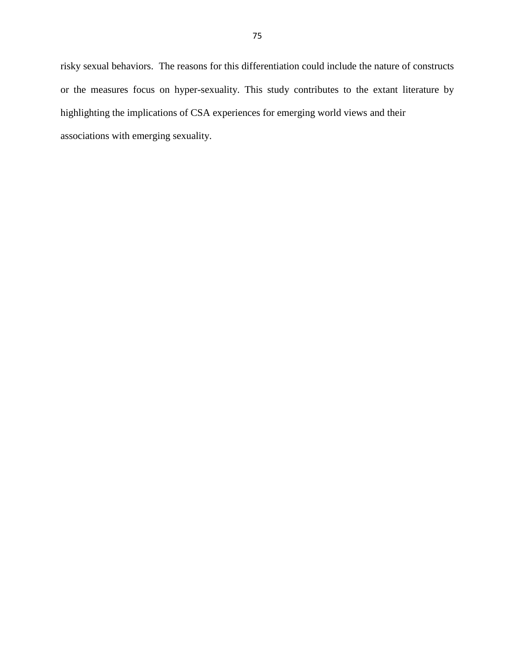risky sexual behaviors. The reasons for this differentiation could include the nature of constructs or the measures focus on hyper-sexuality. This study contributes to the extant literature by highlighting the implications of CSA experiences for emerging world views and their associations with emerging sexuality.